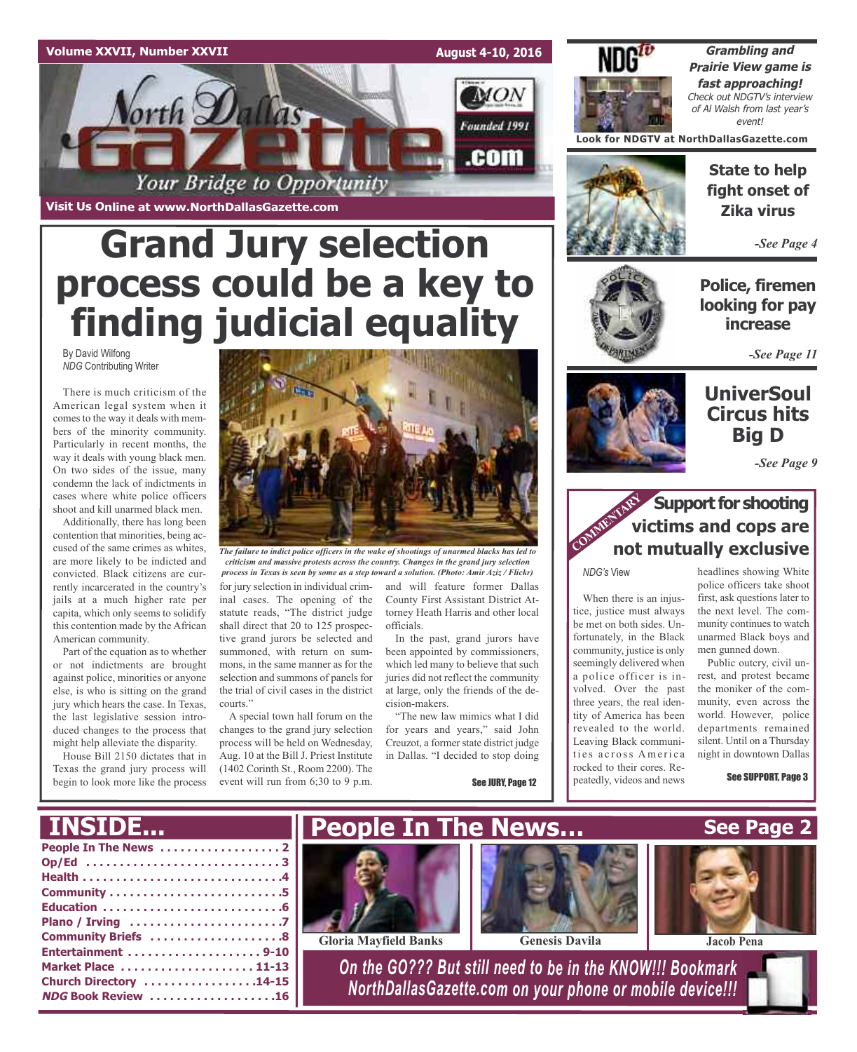#### **Volume XXVII, Number XXVII**

**Visit Us Online at www.NorthDallasGazette.com**

orth Dallas

**August 4-10, 2016**

**MON** 

Founded 1991

.com



**Grambling and Prairie View game is fast approaching!** Check out NDGTV's interview of Al Walsh from last year's event!

**Look for NDGTV at NorthDallasGazette.com**



**State to help fight onset of Zika virus**

*-See Page 4*

**Police, firemen looking for pay increase**

*-See Page 11*

## **UniverSoul Circus hits**

**Big D**



### **Support for shooting**<br> **COMMENTARY**<br> **COMMENTARY**<br> **COMMENTARY**<br> **COMMENTARY**<br> **COMMENTARY**<br> **COMMENTARY victims and cops are not mutually exclusive**

*NDG's* View

When there is an injustice, justice must always be met on both sides. Unfortunately, in the Black community, justice is only seemingly delivered when a police officer is involved. Over the past three years, the real identity of America has been revealed to the world. Leaving Black communities across America rocked to their cores. Repeatedly, videos and news

headlines showing White police officers take shoot first, ask questions later to the next level. The community continues to watch unarmed Black boys and men gunned down.

Public outcry, civil unrest, and protest became the moniker of the community, even across the world. However, police departments remained silent. Until on a Thursday night in downtown Dallas

See SUPPORT, Page 3

**Grand Jury selection process could be a key to finding judicial equality**

Your Bridge to Opportunity

By David Wilfong *NDG* Contributing Writer

There is much criticism of the American legal system when it comes to the way it deals with members of the minority community. Particularly in recent months, the way it deals with young black men. On two sides of the issue, many condemn the lack of indictments in cases where white police officers shoot and kill unarmed black men.

Additionally, there has long been contention that minorities, being accused of the same crimes as whites, are more likely to be indicted and convicted. Black citizens are currently incarcerated in the country's jails at a much higher rate per capita, which only seems to solidify this contention made by the African American community.

Part of the equation as to whether or not indictments are brought against police, minorities or anyone else, is who is sitting on the grand jury which hears the case. In Texas, the last legislative session introduced changes to the process that might help alleviate the disparity.

House Bill 2150 dictates that in Texas the grand jury process will begin to look more like the process



*The failure to indict police officers in the wake of shootings of unarmed blacks has led to criticism and massive protests across the country. Changes in the grand jury selection process in Texas is seen by some as a step toward a solution. (Photo: Amir Aziz / Flickr)*

for jury selection in individual criminal cases. The opening of the statute reads, "The district judge shall direct that 20 to 125 prospective grand jurors be selected and summoned, with return on summons, in the same manner as for the selection and summons of panels for the trial of civil cases in the district courts."

A special town hall forum on the changes to the grand jury selection process will be held on Wednesday, Aug. 10 at the Bill J. Priest Institute (1402 Corinth St., Room 2200). The event will run from 6;30 to 9 p.m.

and will feature former Dallas County First Assistant District Attorney Heath Harris and other local officials.

In the past, grand jurors have been appointed by commissioners, which led many to believe that such juries did not reflect the community at large, only the friends of the decision-makers.

"The new law mimics what I did for years and years," said John Creuzot, a former state district judge in Dallas. "I decided to stop doing

See JURY, Page 12

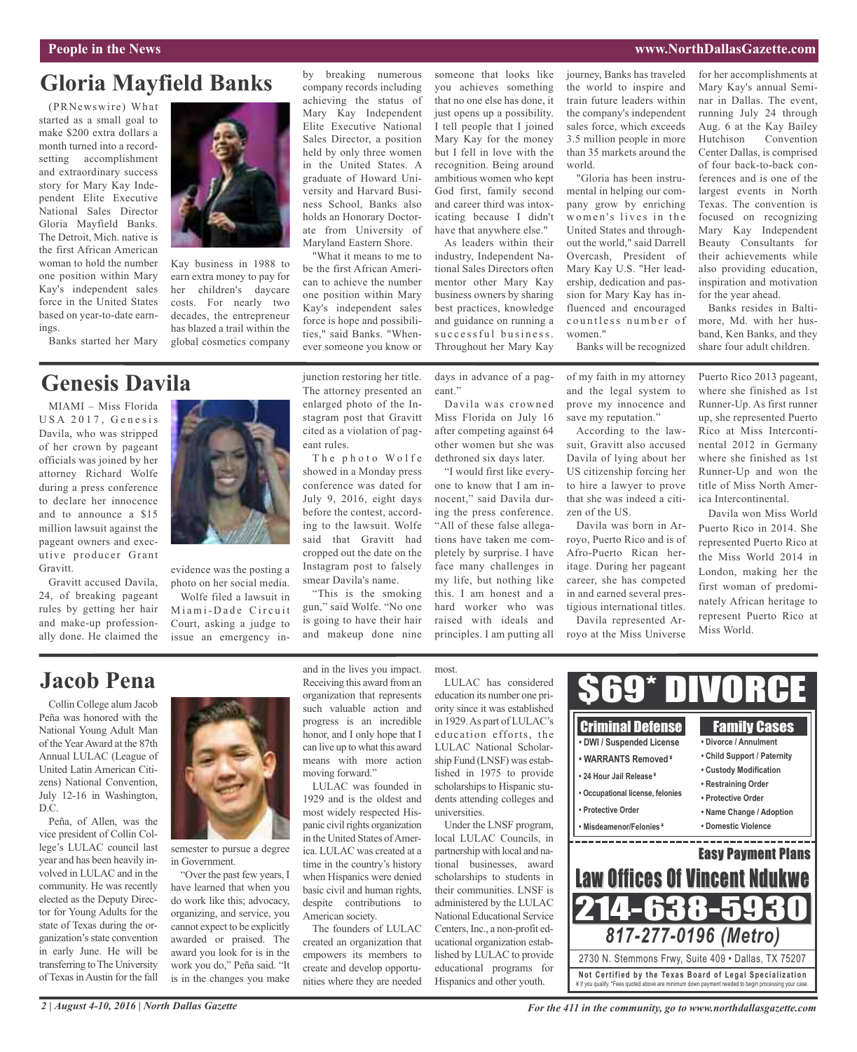#### **People in the News www.NorthDallasGazette.com**

## **Gloria Mayfield Banks**

(PRNewswire) What started as a small goal to make \$200 extra dollars a month turned into a recordsetting accomplishment and extraordinary success story for Mary Kay Independent Elite Executive National Sales Director Gloria Mayfield Banks. The Detroit, Mich. native is the first African American woman to hold the number one position within Mary Kay's independent sales force in the United States based on year-to-date earnings.

Banks started her Mary

## **Genesis Davila**

MIAMI – Miss Florida USA 2017, Genesis Davila, who was stripped of her crown by pageant officials was joined by her attorney Richard Wolfe during a press conference to declare her innocence and to announce a \$15 million lawsuit against the pageant owners and executive producer Grant Gravitt.

Gravitt accused Davila, 24, of breaking pageant rules by getting her hair and make-up professionally done. He claimed the



Kay business in 1988 to earn extra money to pay for her children's daycare costs. For nearly two decades, the entrepreneur has blazed a trail within the global cosmetics company

evidence was the posting a photo on her social media. Wolfe filed a lawsuit in Miami-Dade Circuit Court, asking a judge to issue an emergency inby breaking numerous company records including achieving the status of Mary Kay Independent Elite Executive National Sales Director, a position held by only three women in the United States. A graduate of Howard University and Harvard Business School, Banks also holds an Honorary Doctorate from University of Maryland Eastern Shore.

"What it means to me to be the first African American to achieve the number one position within Mary Kay's independent sales force is hope and possibilities," said Banks. "Whenever someone you know or

junction restoring her title. The attorney presented an enlarged photo of the Instagram post that Gravitt cited as a violation of pag-

The photo Wolfe showed in a Monday press conference was dated for July 9, 2016, eight days before the contest, according to the lawsuit. Wolfe said that Gravitt had cropped out the date on the Instagram post to falsely smear Davila's name. "This is the smoking gun," said Wolfe. "No one is going to have their hair and makeup done nine

eant rules.

someone that looks like you achieves something that no one else has done, it just opens up a possibility. I tell people that I joined Mary Kay for the money but I fell in love with the recognition. Being around ambitious women who kept God first, family second and career third was intoxicating because I didn't have that anywhere else."

As leaders within their industry, Independent National Sales Directors often mentor other Mary Kay business owners by sharing best practices, knowledge and guidance on running a successful business. Throughout her Mary Kay

days in advance of a pageant"

Davila was crowned Miss Florida on July 16 after competing against 64 other women but she was dethroned six days later.

"I would first like everyone to know that I am innocent," said Davila during the press conference. "All of these false allegations have taken me completely by surprise. I have face many challenges in my life, but nothing like this. I am honest and a hard worker who was raised with ideals and principles. I am putting all journey, Banks has traveled the world to inspire and train future leaders within the company's independent sales force, which exceeds 3.5 million people in more than 35 markets around the world.

"Gloria has been instrumental in helping our company grow by enriching women's lives in the United States and throughout the world," said Darrell Overcash, President of Mary Kay U.S. "Her leadership, dedication and passion for Mary Kay has influenced and encouraged countless number of women."

Banks will be recognized

of my faith in my attorney and the legal system to prove my innocence and save my reputation."

According to the lawsuit, Gravitt also accused Davila of lying about her US citizenship forcing her to hire a lawyer to prove that she was indeed a citizen of the US.

Davila was born in Arroyo, Puerto Rico and is of Afro-Puerto Rican heritage. During her pageant career, she has competed in and earned several prestigious international titles. Davila represented Ar-

royo at the Miss Universe

for her accomplishments at Mary Kay's annual Seminar in Dallas. The event, running July 24 through Aug. 6 at the Kay Bailey Hutchison Convention Center Dallas, is comprised of four back-to-back conferences and is one of the largest events in North Texas. The convention is focused on recognizing Mary Kay Independent Beauty Consultants for their achievements while also providing education, inspiration and motivation for the year ahead.

Banks resides in Baltimore, Md. with her husband, Ken Banks, and they share four adult children.

Puerto Rico 2013 pageant, where she finished as 1st Runner-Up. As first runner up, she represented Puerto Rico at Miss Intercontinental 2012 in Germany where she finished as 1st Runner-Up and won the title of Miss North America Intercontinental.

Davila won Miss World Puerto Rico in 2014. She represented Puerto Rico at the Miss World 2014 in London, making her the first woman of predominately African heritage to represent Puerto Rico at Miss World.

### **Jacob Pena**

Collin College alum Jacob Peña was honored with the National Young Adult Man of the YearAward at the 87th Annual LULAC (League of United Latin American Citizens) National Convention, July 12-16 in Washington, D.C.

Peña, of Allen, was the vice president of Collin College's LULAC council last year and has been heavily involved in LULAC and in the community. He was recently elected as the Deputy Director for Young Adults for the state of Texas during the organization's state convention in early June. He will be transferring to The University of Texas in Austin for the fall



semester to pursue a degree in Government.

"Over the past few years, I have learned that when you do work like this; advocacy, organizing, and service, you cannot expect to be explicitly awarded or praised. The award you look for is in the work you do," Peña said. "It is in the changes you make and in the lives you impact. Receiving this award from an organization that represents such valuable action and progress is an incredible honor, and I only hope that I can live up to what this award means with more action moving forward."

LULAC was founded in 1929 and is the oldest and most widely respected Hispanic civil rights organization in the United States ofAmerica. LULAC was created at a time in the country's history when Hispanics were denied basic civil and human rights, despite contributions to American society.

The founders of LULAC created an organization that empowers its members to create and develop opportunities where they are needed

most.

LULAC has considered education its number one priority since it was established in 1929.As part of LULAC's education efforts, the LULAC National Scholarship Fund (LNSF) was established in 1975 to provide scholarships to Hispanic students attending colleges and universities.

Under the LNSF program, local LULAC Councils, in partnership with local and national businesses, award scholarships to students in their communities. LNSF is administered by the LULAC National Educational Service Centers, Inc., a non-profit educational organization established by LULAC to provide educational programs for Hispanics and other youth.



*2 | August 4-10, 2016 | North Dallas Gazette*

*For the 411 in the community, go to www.northdallasgazette.com*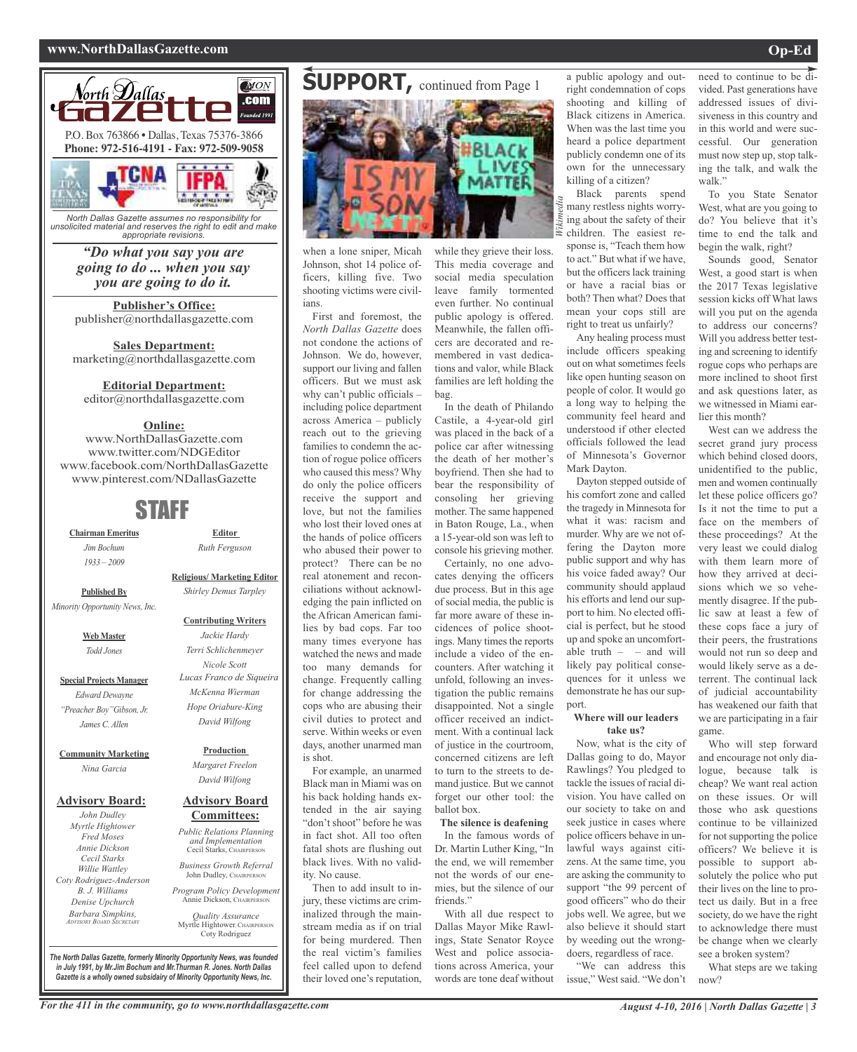#### **www.NorthDallasGazette.com Op-Ed**



*North Dallas Gazette assumes no responsibility for unsolicited material and reserves the right to edit and make appropriate revisions.*

*"Do what you say you are going to do ... when you say you are going to do it.*

**Publisher's Office:** publisher@northdallasgazette.com

**Sales Department:** marketing@northdallasgazette.com

#### **Editorial Department:**

editor@northdallasgazette.com

#### **Online:**

www.NorthDallasGazette.com www.twitter.com/NDGEditor www.facebook.com/NorthDallasGazette www.pinterest.com/NDallasGazette

### STAFF

**Chairman Emeritus** *Jim Bochum 1933 – 2009*

**Religious/ Marketing Editor** *Shirley Demus Tarpley*

**Editor** *Ruth Ferguson*

**Published By** *Minority Opportunity News, Inc.*

> **Web Master** *Todd Jones*

**Special Projects Manager** *Edward Dewayne "Preacher Boy"Gibson, Jr. James C. Allen*

#### **Community Marketing** *Nina Garcia*

#### **Advisory Board:**

*John Dudley Myrtle Hightower Fred Moses Annie Dickson Cecil Starks Willie Wattley Coty Rodriguez-Anderson B. J. Williams Denise Upchurch Barbara Simpkins, ADVISORY BOARD SECRETARY*

#### **Contributing Writers** *Jackie Hardy Terri Schlichenmeyer Nicole Scott Lucas Franco de Siqueira McKenna Wierman*

*Hope Oriabure-King David Wilfong*

**Production** *Margaret Freelon David Wilfong*

#### **Advisory Board Committees:**

*Public Relations Planning and Implementation* Cecil Starks, CHAIRPERSON

*Business Growth Referral* John Dudley, CHAIRPERSO

*Program Policy Development* Annie Dickson, CHAIRPE

*Quality Assurance* Myrtle Hightower, CHAIRPERSON Coty Rodriguez

**SUPPORT, continued from Page 1** 



when a lone sniper, Micah Johnson, shot 14 police officers, killing five. Two shooting victims were civilians.

First and foremost, the *North Dallas Gazette* does not condone the actions of Johnson. We do, however, support our living and fallen officers. But we must ask why can't public officials – including police department across America – publicly reach out to the grieving families to condemn the action of rogue police officers who caused this mess? Why do only the police officers receive the support and love, but not the families who lost their loved ones at the hands of police officers who abused their power to protect? There can be no real atonement and reconciliations without acknowledging the pain inflicted on the African American families by bad cops. Far too many times everyone has watched the news and made too many demands for change. Frequently calling for change addressing the cops who are abusing their civil duties to protect and serve. Within weeks or even days, another unarmed man is shot. For example, an unarmed

Black man in Miami was on his back holding hands extended in the air saying "don't shoot" before he was in fact shot. All too often fatal shots are flushing out black lives. With no validity. No cause.

Then to add insult to injury, these victims are criminalized through the mainstream media as if on trial for being murdered. Then the real victim's families feel called upon to defend their loved one's reputation,

while they grieve their loss. This media coverage and social media speculation leave family tormented even further. No continual public apology is offered. Meanwhile, the fallen officers are decorated and remembered in vast dedications and valor, while Black families are left holding the bag.

In the death of Philando Castile, a 4-year-old girl was placed in the back of a police car after witnessing the death of her mother's boyfriend. Then she had to bear the responsibility of consoling her grieving mother. The same happened in Baton Rouge, La., when a 15-year-old son was left to console his grieving mother.

Certainly, no one advocates denying the officers due process. But in this age of social media, the public is far more aware of these incidences of police shootings. Many times the reports include a video of the encounters. After watching it unfold, following an investigation the public remains disappointed. Not a single officer received an indictment. With a continual lack of justice in the courtroom, concerned citizens are left to turn to the streets to demand justice. But we cannot forget our other tool: the ballot box.

**The silence is deafening** In the famous words of Dr. Martin Luther King, "In the end, we will remember not the words of our enemies, but the silence of our friends."

With all due respect to Dallas Mayor Mike Rawlings, State Senator Royce West and police associations across America, your words are tone deaf without

a public apology and outright condemnation of cops shooting and killing of Black citizens in America. When was the last time you heard a police department publicly condemn one of its own for the unnecessary killing of a citizen?

Black parents spend many restless nights worrying about the safety of their children. The easiest response is, "Teach them how to act." But what if we have, but the officers lack training or have a racial bias or both? Then what? Does that mean your cops still are right to treat us unfairly?

Any healing process must include officers speaking out on what sometimes feels like open hunting season on people of color. It would go a long way to helping the community feel heard and understood if other elected officials followed the lead of Minnesota's Governor Mark Dayton.

Dayton stepped outside of his comfort zone and called the tragedy in Minnesota for what it was: racism and murder. Why are we not offering the Dayton more public support and why has his voice faded away? Our community should applaud his efforts and lend our support to him. No elected official is perfect, but he stood up and spoke an uncomfortable truth  $-$  – and will likely pay political consequences for it unless we demonstrate he has our support.

#### **Where will our leaders take us?**

Now, what is the city of Dallas going to do, Mayor Rawlings? You pledged to tackle the issues of racial division. You have called on our society to take on and seek justice in cases where police officers behave in unlawful ways against citizens. At the same time, you are asking the community to support "the 99 percent of good officers" who do their jobs well. We agree, but we also believe it should start by weeding out the wrongdoers, regardless of race.

"We can address this issue," West said. "We don't

need to continue to be divided. Past generations have addressed issues of divisiveness in this country and in this world and were successful. Our generation must now step up, stop talking the talk, and walk the walk."

To you State Senator West, what are you going to do? You believe that it's time to end the talk and begin the walk, right?

Sounds good, Senator West, a good start is when the 2017 Texas legislative session kicks off What laws will you put on the agenda to address our concerns? Will you address better testing and screening to identify rogue cops who perhaps are more inclined to shoot first and ask questions later, as we witnessed in Miami earlier this month?

West can we address the secret grand jury process which behind closed doors, unidentified to the public, men and women continually let these police officers go? Is it not the time to put a face on the members of these proceedings? At the very least we could dialog with them learn more of how they arrived at decisions which we so vehemently disagree. If the public saw at least a few of these cops face a jury of their peers, the frustrations would not run so deep and would likely serve as a deterrent. The continual lack of judicial accountability has weakened our faith that we are participating in a fair game.

Who will step forward and encourage not only dialogue, because talk is cheap? We want real action on these issues. Or will those who ask questions continue to be villainized for not supporting the police officers? We believe it is possible to support absolutely the police who put their lives on the line to protect us daily. But in a free society, do we have the right to acknowledge there must be change when we clearly see a broken system?

What steps are we taking now?

For the 411 in the community, go to www.northdallasgazette.com August 4-10, 2016 | North Dallas Gazette | 3

*The North Dallas Gazette, formerly Minority Opportunity News, was founded in July 1991, by Mr.Jim Bochum and Mr.Thurman R. Jones. North Dallas Gazette is a wholly owned subsidairy of Minority Opportunity News, Inc.*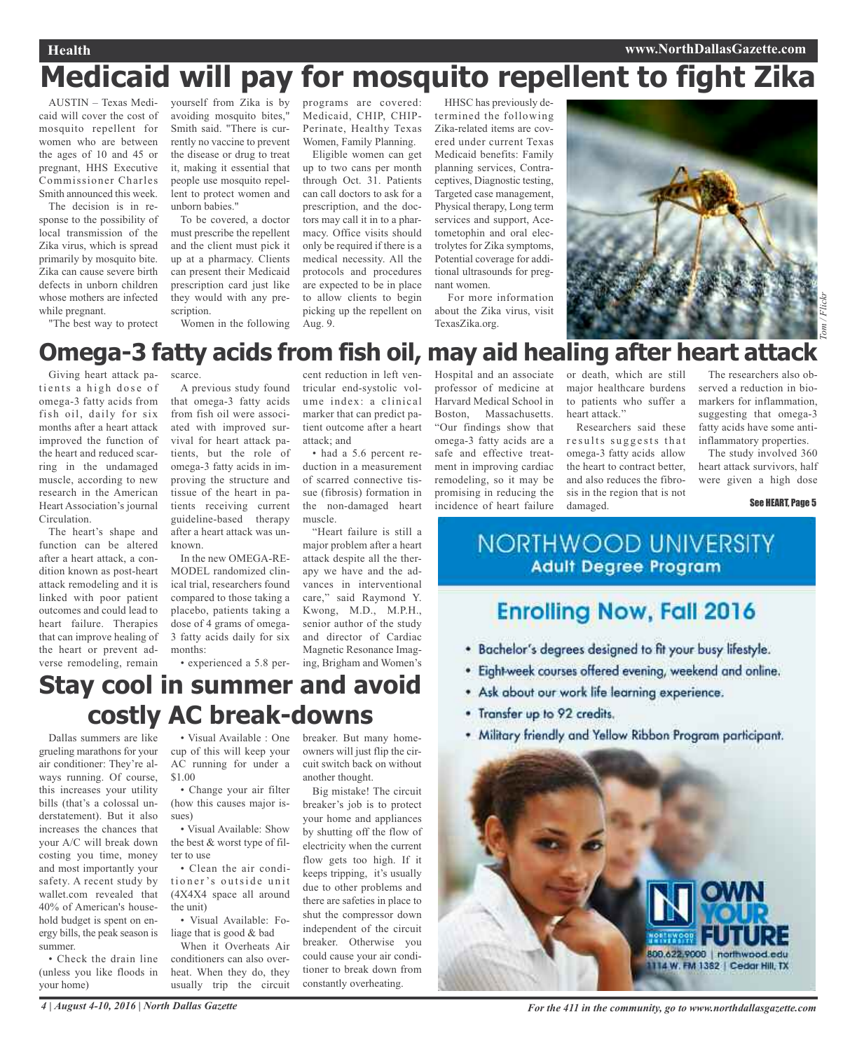#### **Health www.NorthDallasGazette.com**

## **Medicaid will pay for mosquito repellent to fight Zika**

AUSTIN – Texas Medicaid will cover the cost of mosquito repellent for women who are between the ages of 10 and 45 or pregnant, HHS Executive Commissioner Charles Smith announced this week.

The decision is in response to the possibility of local transmission of the Zika virus, which is spread primarily by mosquito bite. Zika can cause severe birth defects in unborn children whose mothers are infected while pregnant.

"The best way to protect

yourself from Zika is by avoiding mosquito bites," Smith said. "There is currently no vaccine to prevent the disease or drug to treat it, making it essential that people use mosquito repellent to protect women and unborn babies."

To be covered, a doctor must prescribe the repellent and the client must pick it up at a pharmacy. Clients can present their Medicaid prescription card just like they would with any prescription.

Women in the following

programs are covered: Medicaid, CHIP, CHIP-Perinate, Healthy Texas Women, Family Planning.

Eligible women can get up to two cans per month through Oct. 31. Patients can call doctors to ask for a prescription, and the doctors may call it in to a pharmacy. Office visits should only be required if there is a medical necessity. All the protocols and procedures are expected to be in place to allow clients to begin picking up the repellent on Aug. 9.

HHSC has previously determined the following Zika-related items are covered under current Texas Medicaid benefits: Family planning services, Contraceptives, Diagnostic testing, Targeted case management, Physical therapy, Long term services and support, Acetometophin and oral electrolytes for Zika symptoms, Potential coverage for additional ultrasounds for pregnant women.

For more information about the Zika virus, visit TexasZika.org.



### Hospital and an associate **Omega-3 fatty acids from fish oil, may aid healing after heart attack**

Giving heart attack patients a high dose of omega-3 fatty acids from fish oil, daily for six months after a heart attack improved the function of the heart and reduced scarring in the undamaged muscle, according to new research in the American Heart Association's journal Circulation.

The heart's shape and function can be altered after a heart attack, a condition known as post-heart attack remodeling and it is linked with poor patient outcomes and could lead to heart failure. Therapies that can improve healing of the heart or prevent adverse remodeling, remain

scarce.

A previous study found that omega-3 fatty acids from fish oil were associated with improved survival for heart attack patients, but the role of omega-3 fatty acids in improving the structure and tissue of the heart in patients receiving current guideline-based therapy after a heart attack was unknown.

In the new OMEGA-RE-MODEL randomized clinical trial, researchers found compared to those taking a placebo, patients taking a dose of 4 grams of omega-3 fatty acids daily for six months:

• experienced a 5.8 per-

**Stay cool in summer and avoid**

**costly AC break-downs**

cent reduction in left ventricular end-systolic volume index: a clinical marker that can predict patient outcome after a heart attack; and

• had a 5.6 percent reduction in a measurement of scarred connective tissue (fibrosis) formation in the non-damaged heart muscle.

"Heart failure is still a major problem after a heart attack despite all the therapy we have and the advances in interventional care," said Raymond Y. Kwong, M.D., M.P.H., senior author of the study and director of Cardiac Magnetic Resonance Imaging, Brigham and Women's

professor of medicine at Harvard Medical School in Boston, Massachusetts. "Our findings show that omega-3 fatty acids are a safe and effective treatment in improving cardiac remodeling, so it may be promising in reducing the incidence of heart failure

or death, which are still major healthcare burdens to patients who suffer a heart attack."

Researchers said these results suggests that omega-3 fatty acids allow the heart to contract better, and also reduces the fibrosis in the region that is not damaged.

The researchers also observed a reduction in biomarkers for inflammation, suggesting that omega-3 fatty acids have some antiinflammatory properties.

The study involved 360 heart attack survivors, half were given a high dose

#### See HEART, Page 5

### **NORTHWOOD UNIVERSITY Adult Degree Program**

## **Enrolling Now, Fall 2016**

- . Bachelor's degrees designed to fit your busy lifestyle.
- · Eight-week courses offered evening, weekend and online.
- \* Ask about our work life learning experience.
- . Transfer up to 92 credits.
- . Military friendly and Yellow Ribbon Program participant.



Dallas summers are like grueling marathons for your air conditioner: They're always running. Of course, this increases your utility bills (that's a colossal understatement). But it also increases the chances that your A/C will break down costing you time, money and most importantly your safety. A recent study by wallet.com revealed that 40% of American's household budget is spent on energy bills, the peak season is summer.

• Check the drain line (unless you like floods in your home)

• Visual Available : One cup of this will keep your AC running for under a \$1.00

• Change your air filter (how this causes major issues)

• Visual Available: Show the best & worst type of filter to use

• Clean the air conditioner's outside unit (4X4X4 space all around the unit)

• Visual Available: Foliage that is good & bad

When it Overheats Air conditioners can also overheat. When they do, they usually trip the circuit breaker. But many homeowners will just flip the circuit switch back on without another thought.

Big mistake! The circuit breaker's job is to protect your home and appliances by shutting off the flow of electricity when the current flow gets too high. If it keeps tripping, it's usually due to other problems and there are safeties in place to shut the compressor down independent of the circuit breaker. Otherwise you could cause your air conditioner to break down from constantly overheating.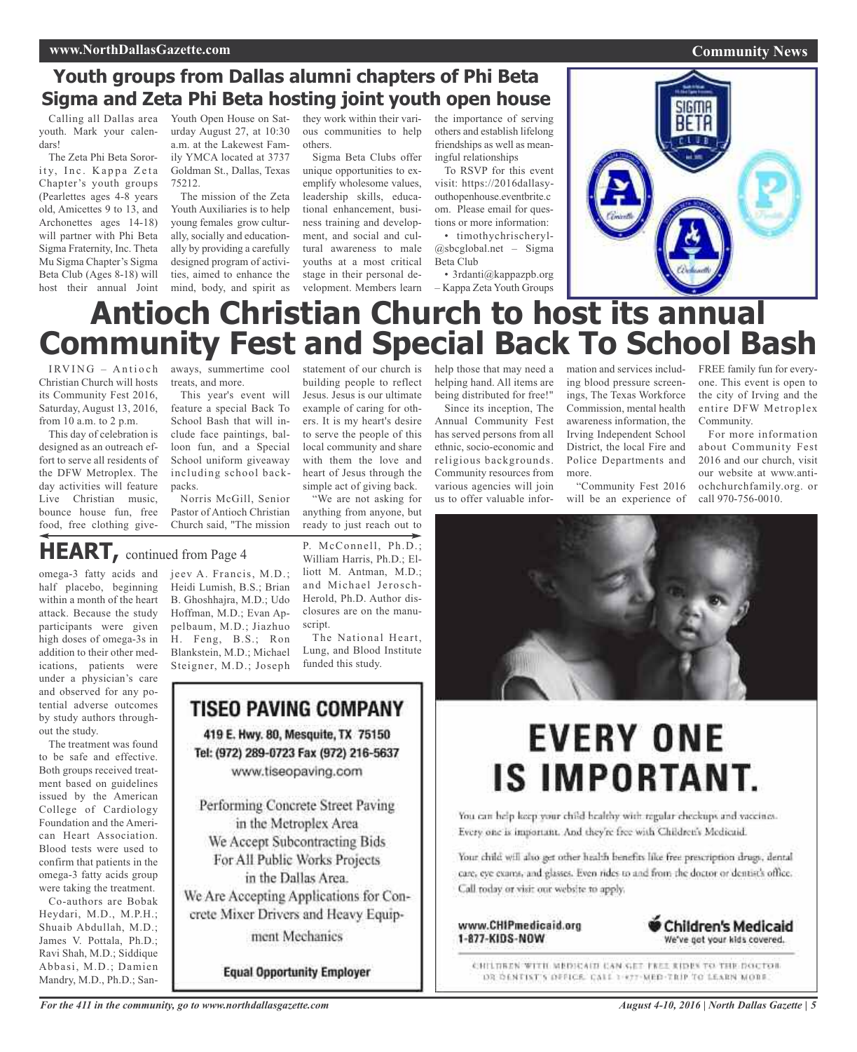### **Youth groups from Dallas alumni chapters of Phi Beta Sigma and Zeta Phi Beta hosting joint youth open house**

Calling all Dallas area youth. Mark your calendars!

The Zeta Phi Beta Sorority, Inc. Kappa Zeta Chapter's youth groups (Pearlettes ages 4-8 years old, Amicettes 9 to 13, and Archonettes ages 14-18) will partner with Phi Beta Sigma Fraternity, Inc. Theta Mu Sigma Chapter's Sigma Beta Club (Ages 8-18) will host their annual Joint Youth Open House on Saturday August 27, at 10:30 a.m. at the Lakewest Family YMCA located at 3737 Goldman St., Dallas, Texas 75212.

The mission of the Zeta Youth Auxiliaries is to help young females grow culturally, socially and educationally by providing a carefully designed program of activities, aimed to enhance the mind, body, and spirit as they work within their various communities to help others.

Sigma Beta Clubs offer unique opportunities to exemplify wholesome values, leadership skills, educational enhancement, business training and development, and social and cultural awareness to male youths at a most critical stage in their personal development. Members learn

to serve the people of this local community and share with them the love and heart of Jesus through the simple act of giving back. "We are not asking for anything from anyone, but ready to just reach out to

P. McConnell, Ph.D.; William Harris, Ph.D.; Elliott M. Antman, M.D.; and Michael Jerosch-Herold, Ph.D. Author disclosures are on the manu-

The National Heart, Lung, and Blood Institute

funded this study.

the importance of serving others and establish lifelong friendships as well as meaningful relationships

To RSVP for this event visit: https://2016dallasyouthopenhouse.eventbrite.c om. Please email for questions or more information: • timothychrischeryl-

@sbcglobal.net – Sigma Beta Club

• 3rdanti@kappazpb.org – Kappa Zeta Youth Groups



## **Antioch Christian Church to host its annual Community Fest and Special Back To School Bash**

Christian Church will hosts its Community Fest 2016, Saturday, August 13, 2016, from 10 a.m. to 2 p.m.

This day of celebration is designed as an outreach effort to serve all residents of the DFW Metroplex. The day activities will feature Live Christian music, bounce house fun, free food, free clothing give-

IRVING - Antioch aways, summertime cool treats, and more.

> This year's event will feature a special Back To School Bash that will include face paintings, balloon fun, and a Special School uniform giveaway including school backpacks.

> Norris McGill, Senior Pastor of Antioch Christian Church said, "The mission

## **HEART,** continued from Page <sup>4</sup>

omega-3 fatty acids and half placebo, beginning within a month of the heart attack. Because the study participants were given high doses of omega-3s in addition to their other medications, patients were under a physician's care and observed for any potential adverse outcomes by study authors throughout the study.

The treatment was found to be safe and effective. Both groups received treatment based on guidelines issued by the American College of Cardiology Foundation and the American Heart Association. Blood tests were used to confirm that patients in the omega-3 fatty acids group were taking the treatment.

Co-authors are Bobak Heydari, M.D., M.P.H.; Shuaib Abdullah, M.D.; James V. Pottala, Ph.D.; Ravi Shah, M.D.; Siddique Abbasi, M.D.; Damien Mandry, M.D., Ph.D.; Sanjeev A. Francis, M.D.; Heidi Lumish, B.S.; Brian B. Ghoshhajra, M.D.; Udo Hoffman, M.D.; Evan Appelbaum, M.D.; Jiazhuo H. Feng, B.S.; Ron Blankstein, M.D.; Michael Steigner, M.D.; Joseph

## **TISEO PAVING COMPANY** 419 E. Hwy. 80, Mesquite, TX 75150 Tel: (972) 289-0723 Fax (972) 216-5637 www.tiseopaving.com Performing Concrete Street Paving in the Metroplex Area

script.

We Accept Subcontracting Bids For All Public Works Projects in the Dallas Area. We Are Accepting Applications for Concrete Mixer Drivers and Heavy Equipment Mechanics

**Equal Opportunity Employer** 

statement of our church is building people to reflect Jesus. Jesus is our ultimate example of caring for others. It is my heart's desire help those that may need a helping hand. All items are being distributed for free!" Since its inception, The

Annual Community Fest has served persons from all ethnic, socio-economic and religious backgrounds. Community resources from various agencies will join us to offer valuable information and services including blood pressure screenings, The Texas Workforce Commission, mental health awareness information, the Irving Independent School District, the local Fire and Police Departments and more.

"Community Fest 2016 will be an experience of

FREE family fun for everyone. This event is open to the city of Irving and the entire DFW Metroplex Community.

For more information about Community Fest 2016 and our church, visit our website at www.antiochchurchfamily.org. or call 970-756-0010.



# **EVERY ONE IS IMPORTANT.**

You can help keep your child healthy with regular checkups and vaccines. Every one is important. And they're free with Children's Medicaid.

Your child will also get other health benefits like free prescription drugs, dental care, eye exams, and glasses. Even rides to and from the doctor or dentist's office. Call today or visit our website to apply.

www.CHIPmedicaid.org 1-877-KIDS-NOW



CHILDREN WITH MEDICAIN CAN GET FREE RIDES TO THE DOCTOR DR DENTIST'S DEFICE. CALL 1-877-MED-TRIP TO LEARN MORE.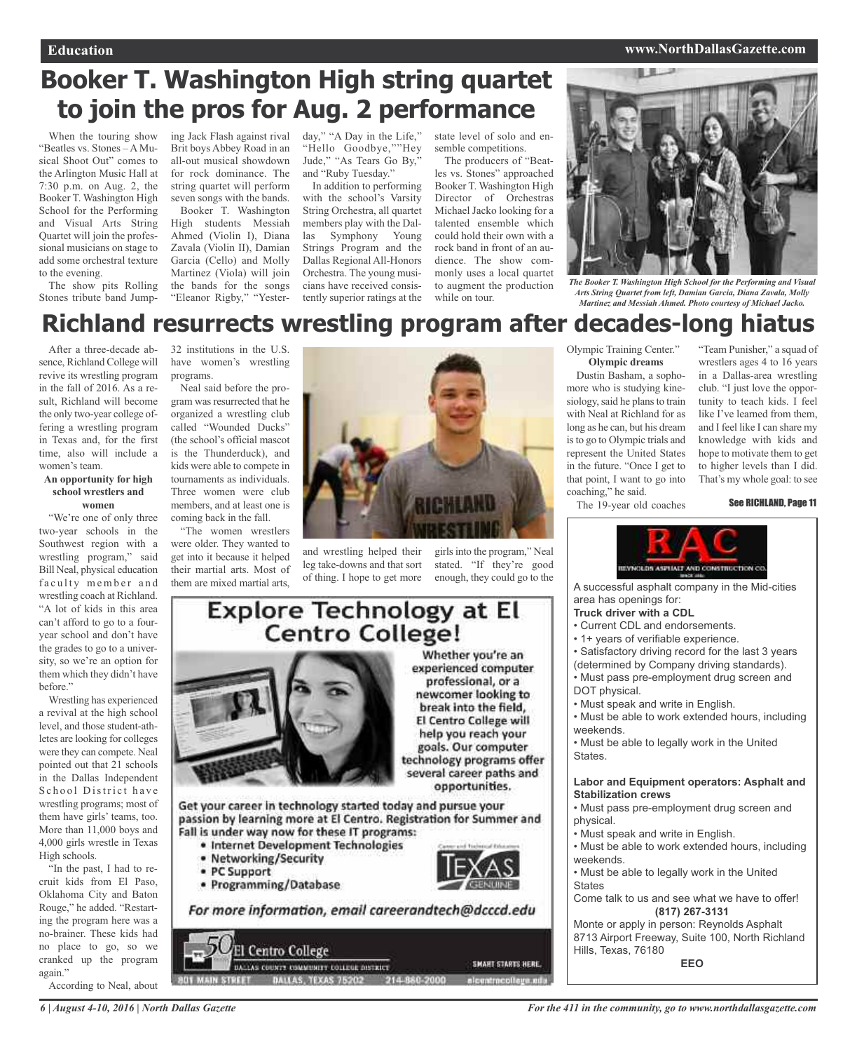#### **Education www.NorthDallasGazette.com**

## **Booker T. Washington High string quartet to join the pros for Aug. 2 performance**

When the touring show "Beatles vs. Stones – A Musical Shoot Out" comes to the Arlington Music Hall at 7:30 p.m. on Aug. 2, the Booker T. Washington High School for the Performing and Visual Arts String Quartet will join the professional musicians on stage to add some orchestral texture to the evening.

The show pits Rolling Stones tribute band Jumping Jack Flash against rival Brit boys Abbey Road in an all-out musical showdown for rock dominance. The string quartet will perform seven songs with the bands.

Booker T. Washington High students Messiah Ahmed (Violin I), Diana Zavala (Violin II), Damian Garcia (Cello) and Molly Martinez (Viola) will join the bands for the songs "Eleanor Rigby," "Yester-

day," "A Day in the Life," "Hello Goodbye,""Hey Jude," "As Tears Go By," and "Ruby Tuesday."

In addition to performing with the school's Varsity String Orchestra, all quartet members play with the Dallas Symphony Young Strings Program and the Dallas Regional All-Honors Orchestra. The young musicians have received consistently superior ratings at the

state level of solo and ensemble competitions.

The producers of "Beatles vs. Stones" approached Booker T. Washington High Director of Orchestras Michael Jacko looking for a talented ensemble which could hold their own with a rock band in front of an audience. The show commonly uses a local quartet to augment the production while on tour.



*The Booker T. Washington High School for the Performing and Visual Arts String Quartet from left, Damian Garcia, Diana Zavala, Molly Martinez and Messiah Ahmed. Photo courtesy of Michael Jacko.*

## **Richland resurrects wrestling program after decades-long hiatus**

After a three-decade absence, Richland College will revive its wrestling program in the fall of 2016. As a result, Richland will become the only two-year college offering a wrestling program in Texas and, for the first time, also will include a women's team.

#### **An opportunity for high school wrestlers and women**

"We're one of only three two-year schools in the Southwest region with a wrestling program," said Bill Neal, physical education faculty member and wrestling coach at Richland. "A lot of kids in this area can't afford to go to a fouryear school and don't have the grades to go to a university, so we're an option for them which they didn't have before."

Wrestling has experienced a revival at the high school level, and those student-athletes are looking for colleges were they can compete. Neal pointed out that 21 schools in the Dallas Independent School District have wrestling programs; most of them have girls' teams, too. More than 11,000 boys and 4,000 girls wrestle in Texas High schools.

"In the past, I had to recruit kids from El Paso, Oklahoma City and Baton Rouge," he added. "Restarting the program here was a no-brainer. These kids had no place to go, so we cranked up the program again."

According to Neal, about

32 institutions in the U.S. have women's wrestling programs. Neal said before the pro-

gram was resurrected that he organized a wrestling club called "Wounded Ducks" (the school's official mascot is the Thunderduck), and kids were able to compete in tournaments as individuals. Three women were club members, and at least one is coming back in the fall.

"The women wrestlers were older. They wanted to get into it because it helped their martial arts. Most of them are mixed martial arts,



and wrestling helped their leg take-downs and that sort of thing. I hope to get more enough, they could go to the

girls into the program," Neal stated. "If they're good

#### Olympic Training Center." **Olympic dreams**

Dustin Basham, a sophomore who is studying kinesiology, said he plans to train with Neal at Richland for as long as he can, but his dream isto go to Olympic trials and represent the United States in the future. "Once I get to that point, I want to go into coaching," he said.

The 19-year old coaches

"Team Punisher," a squad of wrestlers ages 4 to 16 years in a Dallas-area wrestling club. "I just love the opportunity to teach kids. I feel like I've learned from them, and I feel like I can share my knowledge with kids and hope to motivate them to get to higher levels than I did. That's my whole goal: to see

See RICHLAND, Page 11



A successful asphalt company in the Mid-cities area has openings for:

#### **Truck driver with a CDL**

- Current CDL and endorsements.
- 1+ years of verifiable experience.
- Satisfactory driving record for the last 3 years
- (determined by Company driving standards).
- Must pass pre-employment drug screen and DOT physical.
- Must speak and write in English.
- Must be able to work extended hours, including weekends.
- Must be able to legally work in the United States.

#### **Labor and Equipment operators: Asphalt and Stabilization crews**

- Must pass pre-employment drug screen and physical.
- Must speak and write in English.
- Must be able to work extended hours, including weekends.
- Must be able to legally work in the United States

Come talk to us and see what we have to offer! **(817) 267-3131**

Monte or apply in person: Reynolds Asphalt 8713 Airport Freeway, Suite 100, North Richland Hills, Texas, 76180 **EEO**

### **Explore Technology at El** Centro College! Whether you're an



experienced computer professional, or a newcomer looking to break into the field, El Centro College will help you reach your goals. Our computer technology programs offer several career paths and opportunities.

Get your career in technology started today and pursue your passion by learning more at El Centro. Registration for Summer and Fall is under way now for these IT programs:

- · Internet Development Technologies
- Networking/Security
- · PC Support
- · Programming/Database



For more information, email careerandtech@dcccd.edu

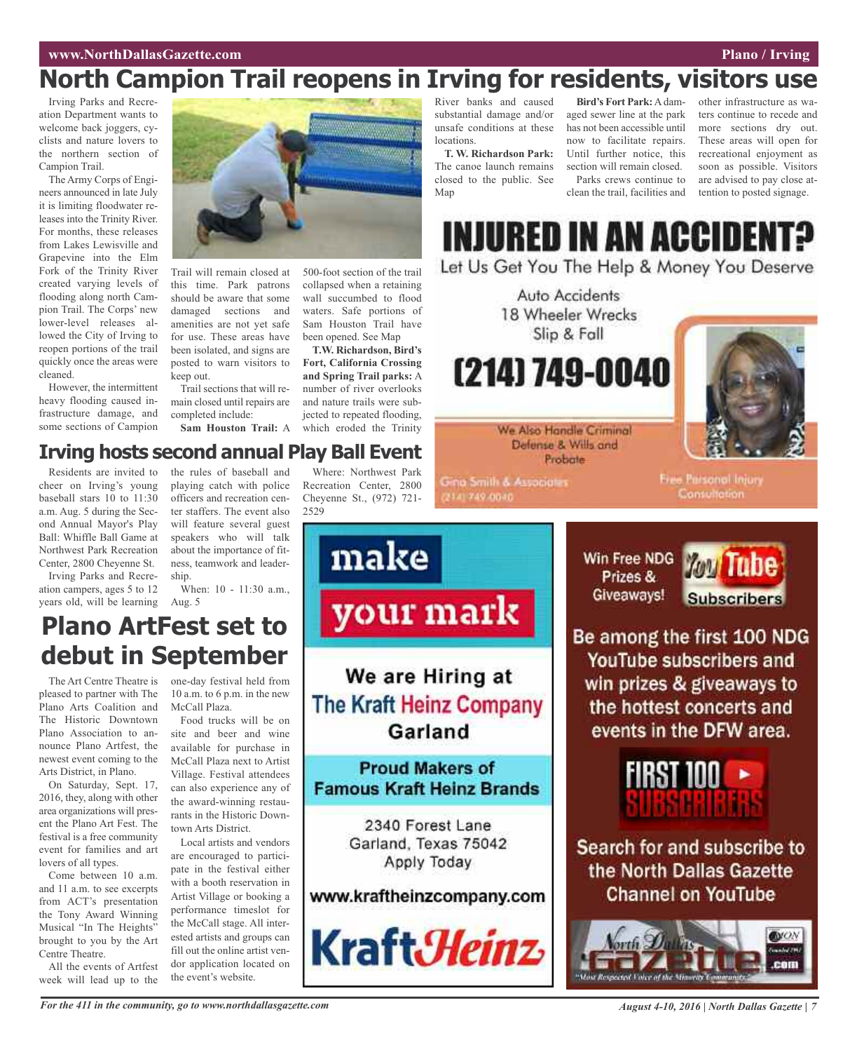## **North Campion Trail reopens in Irving for residents, visitors use**

Irving Parks and Recreation Department wants to welcome back joggers, cyclists and nature lovers to the northern section of Campion Trail.

The Army Corps of Engineers announced in late July it is limiting floodwater releases into the Trinity River. For months, these releases from Lakes Lewisville and Grapevine into the Elm Fork of the Trinity River created varying levels of flooding along north Campion Trail. The Corps' new lower-level releases allowed the City of Irving to reopen portions of the trail quickly once the areas were cleaned.

However, the intermittent heavy flooding caused infrastructure damage, and some sections of Campion



Trail will remain closed at this time. Park patrons should be aware that some damaged sections and amenities are not yet safe for use. These areas have been isolated, and signs are posted to warn visitors to keep out.

Trail sections that will remain closed until repairs are completed include:

**Sam Houston Trail:** A

**Irving hosts second annual Play Ball Event**

500-foot section of the trail collapsed when a retaining wall succumbed to flood waters. Safe portions of Sam Houston Trail have been opened. See Map

**T.W. Richardson, Bird's Fort, California Crossing and Spring Trail parks:** A number of river overlooks and nature trails were subjected to repeated flooding, which eroded the Trinity

Where: Northwest Park Recreation Center, 2800 Cheyenne St., (972) 721-

#### River banks and caused substantial damage and/or unsafe conditions at these locations.

**T. W. Richardson Park:** The canoe launch remains closed to the public. See Man

**Bird's Fort Park:**A damaged sewer line at the park has not been accessible until now to facilitate repairs. Until further notice, this section will remain closed. Parks crews continue to clean the trail, facilities and

other infrastructure as waters continue to recede and more sections dry out. These areas will open for recreational enjoyment as soon as possible. Visitors are advised to pay close attention to posted signage.

INJURED IN AN ACCIDENT

Let Us Get You The Help & Money You Deserve

Prizes & Giveaways!

Auto Accidents 18 Wheeler Wrecks Slip & Fall

(214) 749-0040



We Also Handle Criminal Defense & Wills and Probate

**Gina Smith & Associates** 2141749-0040

Free Parsonol Injury Consultation

Residents are invited to cheer on Irving's young baseball stars 10 to 11:30 a.m. Aug. 5 during the Second Annual Mayor's Play Ball: Whiffle Ball Game at Northwest Park Recreation Center, 2800 Cheyenne St.

Irving Parks and Recreation campers, ages 5 to 12 years old, will be learning the rules of baseball and playing catch with police officers and recreation center staffers. The event also will feature several guest speakers who will talk about the importance of fitness, teamwork and leadership. 2529

When: 10 - 11:30 a.m., Aug. 5



## **Plano ArtFest set to debut in September**

The Art Centre Theatre is pleased to partner with The Plano Arts Coalition and The Historic Downtown Plano Association to announce Plano Artfest, the newest event coming to the Arts District, in Plano.

On Saturday, Sept. 17, 2016, they, along with other area organizations will present the Plano Art Fest. The festival is a free community event for families and art lovers of all types.

Come between 10 a.m. and 11 a.m. to see excerpts from ACT's presentation the Tony Award Winning Musical "In The Heights" brought to you by the Art Centre Theatre.

All the events of Artfest week will lead up to the

one-day festival held from 10 a.m. to 6 p.m. in the new McCall Plaza.

Food trucks will be on site and beer and wine available for purchase in McCall Plaza next to Artist Village. Festival attendees can also experience any of the award-winning restaurants in the Historic Downtown Arts District.

Local artists and vendors are encouraged to participate in the festival either with a booth reservation in Artist Village or booking a performance timeslot for the McCall stage. All interested artists and groups can fill out the online artist vendor application located on the event's website.

your mark We are Hiring at **The Kraft Heinz Company** Garland

**Proud Makers of Famous Kraft Heinz Brands** 

> 2340 Forest Lane Garland, Texas 75042 Apply Today

www.kraftheinzcompany.com



Win Free NDG **Tube Subscribers** 

Be among the first 100 NDG YouTube subscribers and win prizes & giveaways to the hottest concerts and events in the DFW area.



Search for and subscribe to the North Dallas Gazette **Channel on YouTube** 



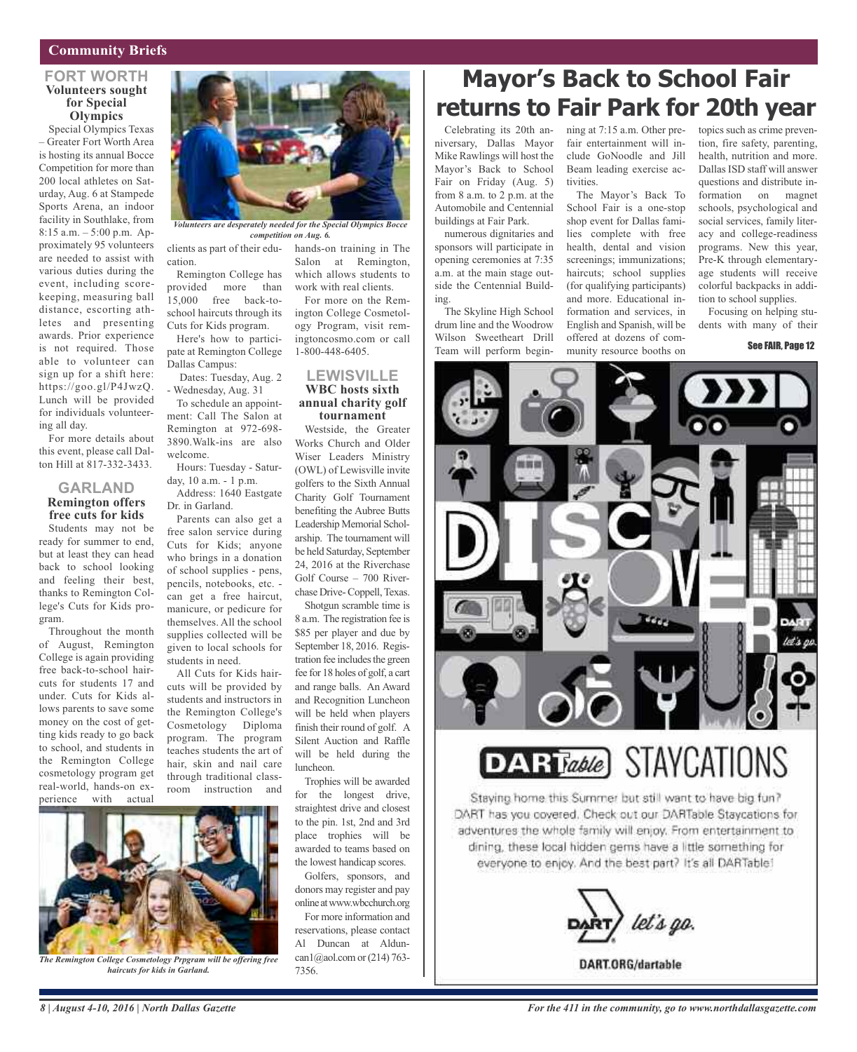#### **Community Briefs**

#### **FORT WORTH Volunteers sought for Special Olympics**

Special Olympics Texas – Greater Fort Worth Area is hosting its annual Bocce Competition for more than 200 local athletes on Saturday, Aug. 6 at Stampede Sports Arena, an indoor facility in Southlake, from 8:15 a.m. – 5:00 p.m. Approximately 95 volunteers are needed to assist with various duties during the event, including scorekeeping, measuring ball distance, escorting athletes and presenting awards. Prior experience is not required. Those able to volunteer can sign up for a shift here: https://goo.gl/P4JwzQ. Lunch will be provided for individuals volunteering all day.

For more details about this event, please call Dalton Hill at 817-332-3433.

#### **GARLAND Remington offers free cuts for kids**

Students may not be ready for summer to end, but at least they can head back to school looking and feeling their best, thanks to Remington College's Cuts for Kids program.

Throughout the month of August, Remington College is again providing free back-to-school haircuts for students 17 and under. Cuts for Kids allows parents to save some money on the cost of getting kids ready to go back to school, and students in the Remington College cosmetology program get real-world, hands-on experience with actual



*Volunteers are desperately needed for the Special Olympics Bocce competition on Aug. 6.*

cation.

Remington College has provided more than 15,000 free back-toschool haircuts through its Cuts for Kids program.

Here's how to participate at Remington College Dallas Campus:

Dates: Tuesday, Aug. 2 - Wednesday, Aug. 31

To schedule an appointment: Call The Salon at Remington at 972-698- 3890.Walk-ins are also welcome.

Hours: Tuesday - Saturday, 10 a.m. - 1 p.m.

Address: 1640 Eastgate Dr. in Garland.

Parents can also get a free salon service during Cuts for Kids; anyone who brings in a donation of school supplies - pens, pencils, notebooks, etc. can get a free haircut, manicure, or pedicure for themselves. All the school supplies collected will be given to local schools for students in need.

All Cuts for Kids haircuts will be provided by students and instructors in the Remington College's Cosmetology Diploma program. The program teaches students the art of hair, skin and nail care through traditional classroom instruction and

clients as part of their edu-hands-on training in The Salon at Remington, which allows students to work with real clients.

> For more on the Remington College Cosmetology Program, visit remingtoncosmo.com or call 1-800-448-6405.

#### **LEWISVILLE WBC hosts sixth annual charity golf tournament**

Westside, the Greater Works Church and Older Wiser Leaders Ministry (OWL) of Lewisville invite golfers to the Sixth Annual Charity Golf Tournament benefiting the Aubree Butts Leadership Memorial Scholarship. The tournament will be held Saturday, September 24, 2016 at the Riverchase Golf Course – 700 Riverchase Drive-Coppell, Texas.

Shotgun scramble time is 8 a.m. The registration fee is \$85 per player and due by September 18, 2016. Registration fee includes the green fee for 18 holes of golf, a cart and range balls. An Award and Recognition Luncheon will be held when players finish their round of golf. A Silent Auction and Raffle will be held during the luncheon.

Trophies will be awarded for the longest drive, straightest drive and closest to the pin. 1st, 2nd and 3rd place trophies will be awarded to teams based on the lowest handicap scores.

Golfers, sponsors, and donors may register and pay online atwww.wbcchurch.org

For more information and reservations, please contact Al Duncan at Alduncan1@aol.com or  $(214)$  763-7356.

## **Mayor's Back to School Fair returns to Fair Park for 20th year**

Celebrating its 20th anniversary, Dallas Mayor Mike Rawlings will host the Mayor's Back to School Fair on Friday (Aug. 5) from 8 a.m. to 2 p.m. at the Automobile and Centennial buildings at Fair Park.

numerous dignitaries and sponsors will participate in opening ceremonies at 7:35 a.m. at the main stage outside the Centennial Building.

The Skyline High School drum line and the Woodrow Wilson Sweetheart Drill Team will perform beginning at 7:15 a.m. Other prefair entertainment will include GoNoodle and Jill Beam leading exercise activities.

The Mayor's Back To School Fair is a one-stop shop event for Dallas families complete with free health, dental and vision screenings; immunizations; haircuts; school supplies (for qualifying participants) and more. Educational information and services, in English and Spanish, will be offered at dozens of community resource booths on

topics such as crime prevention, fire safety, parenting, health, nutrition and more. Dallas ISD staff will answer questions and distribute information on magnet schools, psychological and social services, family literacy and college-readiness programs. New this year, Pre-K through elementaryage students will receive colorful backpacks in addition to school supplies.

Focusing on helping students with many of their

See FAIR, Page 12



**DART**able) STAYCATIONS

Staying home this Summer but still want to have big fun? DART has you covered. Check out our DARTable Staycations for adventures the whole family will enjoy. From entertainment to dining, these local hidden gems have a little something for everyone to enjoy. And the best part? It's all DARTable!



**DART.ORG/dartable** 



*The Remington College Cosmetology Prpgram will be offering free haircuts for kids in Garland.*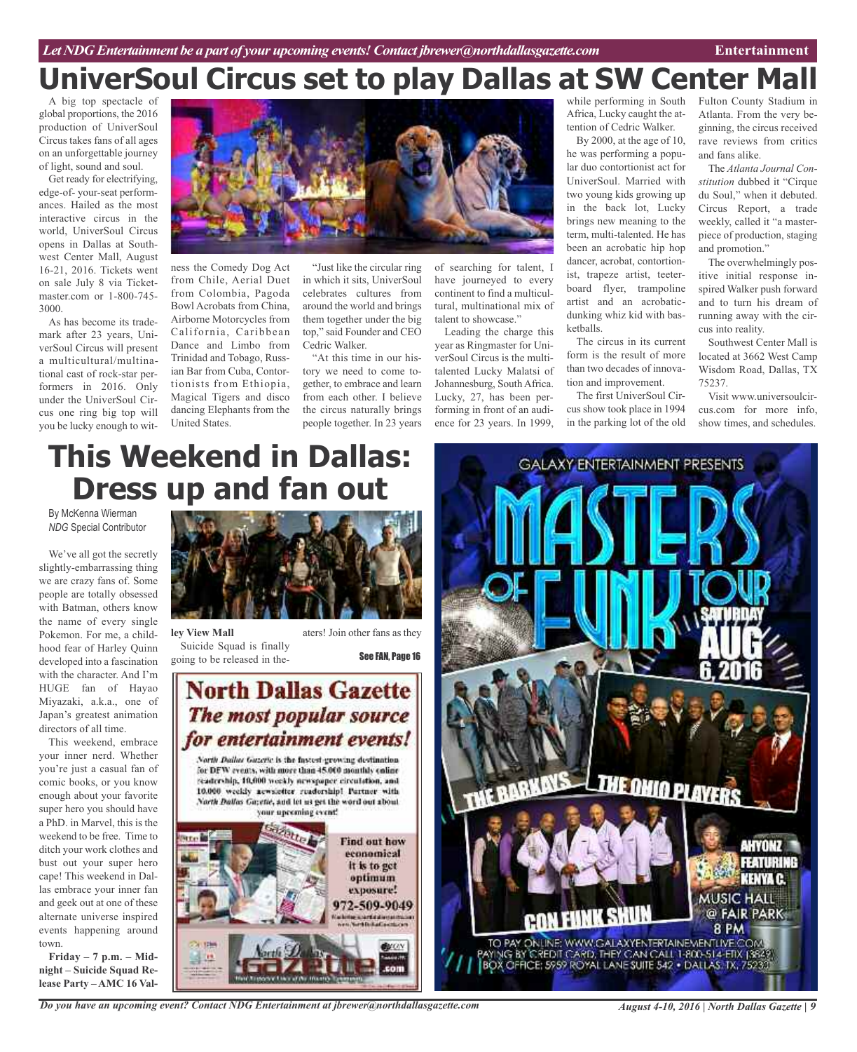## **UniverSoul Circus set to play Dallas at SW Center Mall**

A big top spectacle of global proportions, the 2016 production of UniverSoul Circus takes fans of all ages on an unforgettable journey of light, sound and soul.

Get ready for electrifying, edge-of- your-seat performances. Hailed as the most interactive circus in the world, UniverSoul Circus opens in Dallas at Southwest Center Mall, August 16-21, 2016. Tickets went on sale July 8 via Ticketmaster.com or 1-800-745- 3000.

As has become its trademark after 23 years, UniverSoul Circus will present a multicultural/multinational cast of rock-star performers in 2016. Only under the UniverSoul Circus one ring big top will you be lucky enough to witness the Comedy Dog Act from Chile, Aerial Duet from Colombia, Pagoda Bowl Acrobats from China, Airborne Motorcycles from California, Caribbean Dance and Limbo from Trinidad and Tobago, Russian Bar from Cuba, Contortionists from Ethiopia, Magical Tigers and disco dancing Elephants from the United States.



"Just like the circular ring in which it sits, UniverSoul celebrates cultures from around the world and brings them together under the big top," said Founder and CEO Cedric Walker.

"At this time in our history we need to come together, to embrace and learn from each other. I believe the circus naturally brings people together. In 23 years

of searching for talent, I have journeyed to every continent to find a multicultural, multinational mix of talent to showcase."

Leading the charge this year as Ringmaster for UniverSoul Circus is the multitalented Lucky Malatsi of Johannesburg, South Africa. Lucky, 27, has been performing in front of an audience for 23 years. In 1999,

while performing in South Africa, Lucky caught the attention of Cedric Walker.

By 2000, at the age of 10, he was performing a popular duo contortionist act for UniverSoul. Married with two young kids growing up in the back lot, Lucky brings new meaning to the term, multi-talented. He has been an acrobatic hip hop dancer, acrobat, contortionist, trapeze artist, teeterboard flyer, trampoline artist and an acrobaticdunking whiz kid with basketballs.

The circus in its current form is the result of more than two decades of innovation and improvement.

The first UniverSoul Circus show took place in 1994 in the parking lot of the old

Fulton County Stadium in Atlanta. From the very beginning, the circus received rave reviews from critics and fans alike.

The *Atlanta Journal Constitution* dubbed it "Cirque du Soul," when it debuted. Circus Report, a trade weekly, called it "a masterpiece of production, staging and promotion."

The overwhelmingly positive initial response inspired Walker push forward and to turn his dream of running away with the circus into reality.

Southwest Center Mall is located at 3662 West Camp Wisdom Road, Dallas, TX 75237.

Visit www.universoulcircus.com for more info, show times, and schedules.

## **This Weekend in Dallas: Dress up and fan out**

By McKenna Wierman *NDG* Special Contributor

We've all got the secretly slightly-embarrassing thing we are crazy fans of. Some people are totally obsessed with Batman, others know the name of every single Pokemon. For me, a childhood fear of Harley Quinn developed into a fascination with the character. And I'm HUGE fan of Hayao Miyazaki, a.k.a., one of Japan's greatest animation directors of all time.

This weekend, embrace your inner nerd. Whether you're just a casual fan of comic books, or you know enough about your favorite super hero you should have a PhD. in Marvel, this is the weekend to be free. Time to ditch your work clothes and bust out your super hero cape! This weekend in Dallas embrace your inner fan and geek out at one of these alternate universe inspired events happening around town.

**Friday – 7 p.m. – Midnight – Suicide Squad Release Party – AMC 16 Val-**



**ley View Mall** Suicide Squad is finally going to be released in the-

aters! Join other fans as they See FAN, Page 16

**North Dallas Gazette** The most popular source for entertainment events!

North Dailus Gazette is the fastest executive destination. for DFW events, with more than 45,000 monthly coline readership, 10,000 workly newspaper circulation, and 10.000 weekly acwaiciter readership! Pertner with North Dallas Gazetie, and let us get the word out about your upcoming event!





*Do you have an upcoming event? Contact NDG Entertainment at jbrewer@northdallasgazette.com*

*August 4-10, 2016 | North Dallas Gazette | 9*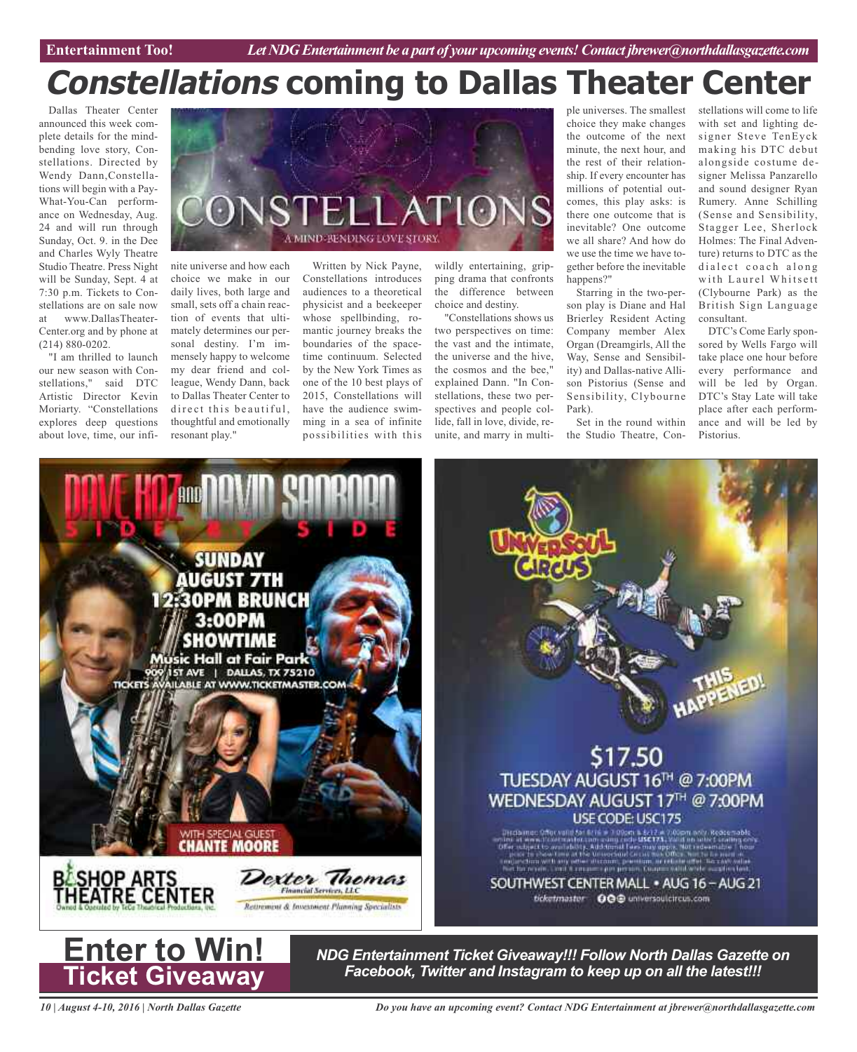# **Constellations coming to Dallas Theater Center**

Dallas Theater Center announced this week complete details for the mindbending love story, Constellations. Directed by Wendy Dann,Constellations will begin with a Pay-What-You-Can performance on Wednesday, Aug. 24 and will run through Sunday, Oct. 9. in the Dee and Charles Wyly Theatre Studio Theatre. Press Night will be Sunday, Sept. 4 at 7:30 p.m. Tickets to Constellations are on sale now at www.DallasTheater-Center.org and by phone at (214) 880-0202.

"I am thrilled to launch our new season with Constellations," said DTC Artistic Director Kevin Moriarty. "Constellations explores deep questions about love, time, our infi-



nite universe and how each choice we make in our daily lives, both large and small, sets off a chain reaction of events that ultimately determines our personal destiny. I'm immensely happy to welcome my dear friend and colleague, Wendy Dann, back to Dallas Theater Center to direct this beautiful, thoughtful and emotionally resonant play."

Written by Nick Payne, Constellations introduces audiences to a theoretical physicist and a beekeeper whose spellbinding, romantic journey breaks the boundaries of the spacetime continuum. Selected by the New York Times as one of the 10 best plays of 2015, Constellations will have the audience swimming in a sea of infinite possibilities with this

wildly entertaining, gripping drama that confronts the difference between choice and destiny.

"Constellations shows us two perspectives on time: the vast and the intimate, the universe and the hive, the cosmos and the bee," explained Dann. "In Constellations, these two perspectives and people collide, fall in love, divide, reunite, and marry in multiple universes. The smallest choice they make changes the outcome of the next minute, the next hour, and the rest of their relationship. If every encounter has millions of potential outcomes, this play asks: is there one outcome that is inevitable? One outcome we all share? And how do we use the time we have together before the inevitable happens?"

Starring in the two-person play is Diane and Hal Brierley Resident Acting Company member Alex Organ (Dreamgirls, All the Way, Sense and Sensibility) and Dallas-native Allison Pistorius (Sense and Sensibility, Clybourne Park).

Set in the round within the Studio Theatre, Constellations will come to life with set and lighting designer Steve TenEyck making his DTC debut alongside costume designer Melissa Panzarello and sound designer Ryan Rumery. Anne Schilling (Sense and Sensibility, Stagger Lee, Sherlock Holmes: The Final Adventure) returns to DTC as the dialect coach along with Laurel Whitsett (Clybourne Park) as the British Sign Language consultant.

DTC's Come Early sponsored by Wells Fargo will take place one hour before every performance and will be led by Organ. DTC's Stay Late will take place after each performance and will be led by Pistorius.





*NDG Entertainment Ticket Giveaway!!! Follow North Dallas Gazette on Facebook, Twitter and Instagram to keep up on all the latest!!!*

*10 | August 4-10, 2016 | North Dallas Gazette*

**Ticket Giveaway**

*Do you have an upcoming event? Contact NDG Entertainment at jbrewer@northdallasgazette.com*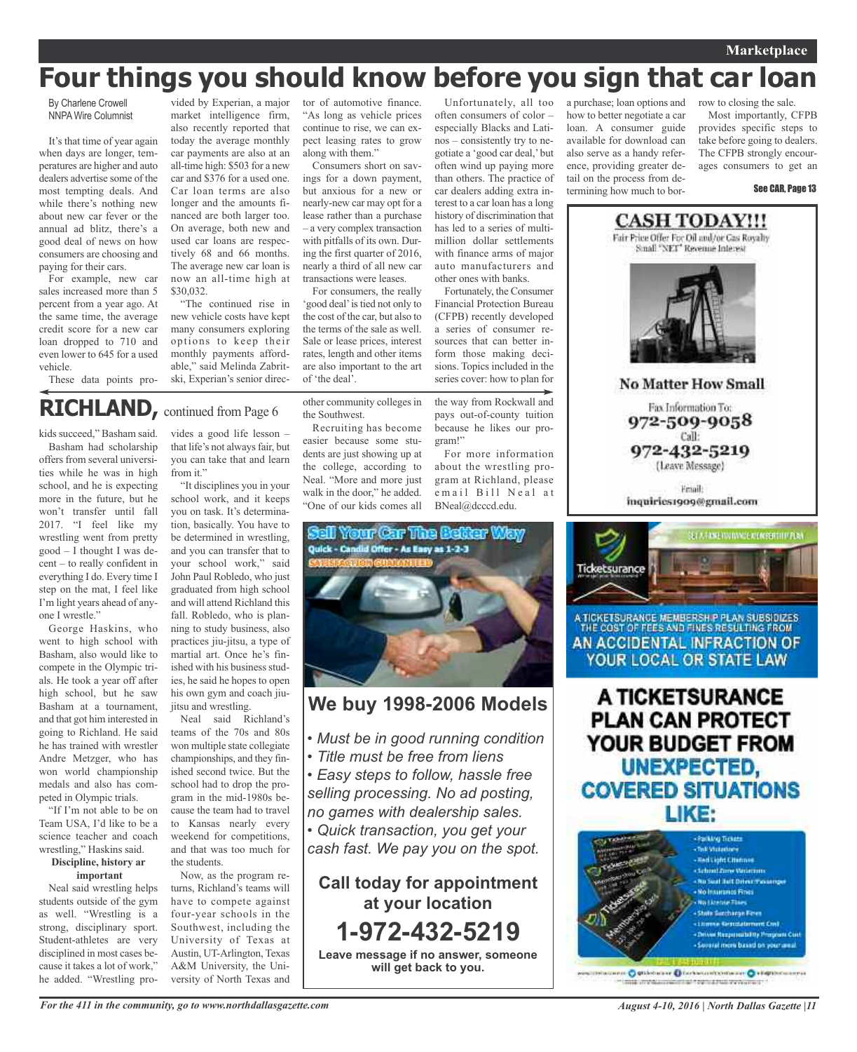#### **Marketplace**

## **Four things you should know before you sign that car loan**

By Charlene Crowell NNPA Wire Columnist

It's that time of year again when days are longer, temperatures are higher and auto dealers advertise some of the most tempting deals. And while there's nothing new about new car fever or the annual ad blitz, there's a good deal of news on how consumers are choosing and paying for their cars.

For example, new car sales increased more than 5 percent from a year ago. At the same time, the average credit score for a new car loan dropped to 710 and even lower to 645 for a used vehicle.

These data points pro-

vided by Experian, a major market intelligence firm, also recently reported that today the average monthly car payments are also at an all-time high: \$503 for a new car and \$376 for a used one. Car loan terms are also longer and the amounts financed are both larger too. On average, both new and used car loans are respectively 68 and 66 months. The average new car loan is now an all-time high at \$30,032.

"The continued rise in new vehicle costs have kept many consumers exploring options to keep their monthly payments affordable," said Melinda Zabritski, Experian's senior director of automotive finance. "As long as vehicle prices continue to rise, we can expect leasing rates to grow along with them."

Consumers short on savings for a down payment, but anxious for a new or nearly-new car may opt for a lease rather than a purchase – a very complex transaction with pitfalls of its own. During the first quarter of 2016, nearly a third of all new car transactions were leases.

For consumers, the really 'good deal' is tied not only to the cost of the car, but also to the terms of the sale as well. Sale or lease prices, interest rates, length and other items are also important to the art of 'the deal'.

other community colleges in

Recruiting has become easier because some students are just showing up at the college, according to Neal. "More and more just walk in the door," he added. "One of our kids comes all

the Southwest.

especially Blacks and Latinos – consistently try to negotiate a 'good car deal,' but often wind up paying more than others. The practice of car dealers adding extra interest to a car loan has a long history of discrimination that has led to a series of multimillion dollar settlements with finance arms of major auto manufacturers and other ones with banks.

often consumers of color –

Fortunately, the Consumer Financial Protection Bureau (CFPB) recently developed a series of consumer resources that can better inform those making decisions. Topics included in the series cover: how to plan for

the way from Rockwall and pays out-of-county tuition because he likes our program!"

For more information about the wrestling program at Richland, please email Bill Neal at BNeal@dcccd.edu.



### **We buy 1998-2006 Models**

- *• Must be in good running condition*
- *• Title must be free from liens*
- *• Easy steps to follow, hassle free selling processing. No ad posting, no games with dealership sales.*

*• Quick transaction, you get your cash fast. We pay you on the spot.*

**Call today for appointment at your location 1-972-432-5219 Leave message if no answer, someone will get back to you.**

Unfortunately, all too a purchase; loan options and how to better negotiate a car loan. A consumer guide available for download can also serve as a handy reference, providing greater detail on the process from determining how much to bor-

row to closing the sale.

Most importantly, CFPB provides specific steps to take before going to dealers. The CFPB strongly encourages consumers to get an

#### See CAR, Page 13



**No Matter How Small** 

Fax Information To: 972-509-9058 Call: 972-432-5219 (Leave Message)

**Email** inquiries1909@gmail.com



A TICKETSURANCE MEMBERSH P PLAN SUBSIDIZES THE COST OF FEES AND FINES RESULTING FROM AN ACCIDENTAL INFRACTION OF YOUR LOCAL OR STATE LAW

A TICKETSURANCE **PLAN CAN PROTECT** YOUR BUDGET FROM UNEXPECTED, **COVERED SITUATIONS** LIKE:



nen Ostleterer Oferhetentromene Oktoportuurren mile profitamienti al forma futbori vervicine il

### **RICHLAND,** continued from Page <sup>6</sup>

kids succeed," Basham said.

Basham had scholarship offers from several universities while he was in high school, and he is expecting more in the future, but he won't transfer until fall 2017. "I feel like my wrestling went from pretty good – I thought I was decent – to really confident in everything I do. Every time I step on the mat, I feel like I'm light years ahead of anyone I wrestle."

George Haskins, who went to high school with Basham, also would like to compete in the Olympic trials. He took a year off after high school, but he saw Basham at a tournament, and that got him interested in going to Richland. He said he has trained with wrestler Andre Metzger, who has won world championship medals and also has competed in Olympic trials.

"If I'm not able to be on Team USA, I'd like to be a science teacher and coach wrestling," Haskins said.

#### **Discipline, history ar important**

Neal said wrestling helps students outside of the gym as well. "Wrestling is a strong, disciplinary sport. Student-athletes are very disciplined in most cases because it takes a lot of work," he added. "Wrestling pro-

vides a good life lesson – that life's not always fair, but you can take that and learn from it."

"It disciplines you in your school work, and it keeps you on task. It's determination, basically. You have to be determined in wrestling, and you can transfer that to your school work," said John Paul Robledo, who just graduated from high school and will attend Richland this fall. Robledo, who is planning to study business, also practices jiu-jitsu, a type of martial art. Once he's finished with his business studies, he said he hopes to open his own gym and coach jiuitsu and wrestling.

Neal said Richland's teams of the 70s and 80s won multiple state collegiate championships, and they finished second twice. But the school had to drop the program in the mid-1980s because the team had to travel to Kansas nearly every weekend for competitions, and that was too much for the students.

Now, as the program returns, Richland's teams will have to compete against four-year schools in the Southwest, including the University of Texas at Austin, UT-Arlington, Texas A&M University, the University of North Texas and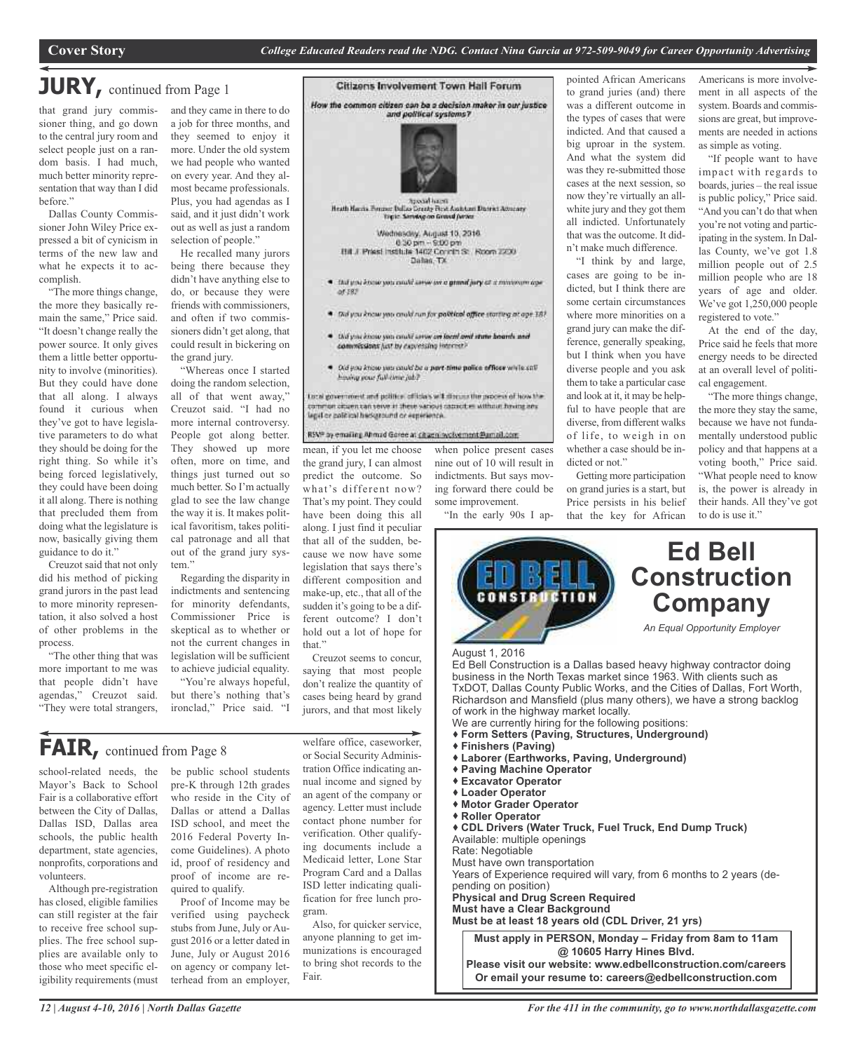## **JURY,** continued from Page <sup>1</sup>

that grand jury commissioner thing, and go down to the central jury room and select people just on a random basis. I had much, much better minority representation that way than I did before."

Dallas County Commissioner John Wiley Price expressed a bit of cynicism in terms of the new law and what he expects it to accomplish.

"The more things change, the more they basically remain the same," Price said. "It doesn't change really the power source. It only gives them a little better opportunity to involve (minorities). But they could have done that all along. I always found it curious when they've got to have legislative parameters to do what they should be doing for the right thing. So while it's being forced legislatively, they could have been doing it all along. There is nothing that precluded them from doing what the legislature is now, basically giving them guidance to do it."

Creuzot said that not only did his method of picking grand jurors in the past lead to more minority representation, it also solved a host of other problems in the process.

"The other thing that was more important to me was that people didn't have agendas," Creuzot said. "They were total strangers,

and they came in there to do a job for three months, and they seemed to enjoy it more. Under the old system we had people who wanted on every year. And they almost became professionals. Plus, you had agendas as I said, and it just didn't work out as well as just a random selection of people."

He recalled many jurors being there because they didn't have anything else to do, or because they were friends with commissioners, and often if two commissioners didn't get along, that could result in bickering on the grand jury.

"Whereas once I started doing the random selection, all of that went away," Creuzot said. "I had no more internal controversy. People got along better. They showed up more often, more on time, and things just turned out so much better. So I'm actually glad to see the law change the way it is. It makes political favoritism, takes political patronage and all that out of the grand jury system"

Regarding the disparity in indictments and sentencing for minority defendants, Commissioner Price is skeptical as to whether or not the current changes in legislation will be sufficient to achieve judicial equality.

"You're always hopeful, but there's nothing that's ironclad," Price said. "I



Hill J. Priest Institute 1402 Concin St. Room 2200

- \* Dul you know you could serve we a grand jury of a miniwum coe.  $of 187$
- \* Did you know you could run for political affice starting at ope 181
- . Diffyou know you anulif cerve an local and state boards and commissions just by capyessing interest?
- . Old you know you cauld be a part time police officer while call hining your full-circe job?

total government and political officials will direct the process of how the commen altuen can serve in these various capacities without having any<br>legal or political hackground or experience.

#### RSNP by emailing Ahmad Goree at citizen involvement Parnail.com

mean, if you let me choose

have been doing this all along. I just find it peculiar that all of the sudden, because we now have some legislation that says there's different composition and make-up, etc., that all of the sudden it's going to be a different outcome? I don't hold out a lot of hope for

when police present cases nine out of 10 will result in some improvement.

"In the early 90s I ap-

to grand juries (and) there was a different outcome in the types of cases that were indicted. And that caused a big uproar in the system. And what the system did was they re-submitted those cases at the next session, so now they're virtually an allwhite jury and they got them all indicted. Unfortunately that was the outcome. It didn't make much difference.

pointed African Americans

"I think by and large, cases are going to be indicted, but I think there are some certain circumstances where more minorities on a grand jury can make the difference, generally speaking, but I think when you have diverse people and you ask them to take a particular case and look at it, it may be helpful to have people that are diverse, from different walks of life, to weigh in on whether a case should be indicted or not."

Getting more participation on grand juries is a start, but Price persists in his belief that the key for African Americans is more involvement in all aspects of the system. Boards and commissions are great, but improvements are needed in actions as simple as voting.

"If people want to have impact with regards to boards, juries – the real issue is public policy," Price said. "And you can't do that when you're not voting and participating in the system. In Dallas County, we've got 1.8 million people out of 2.5 million people who are 18 years of age and older. We've got 1,250,000 people registered to vote."

At the end of the day, Price said he feels that more energy needs to be directed at an overall level of political engagement.

"The more things change, the more they stay the same, because we have not fundamentally understood public policy and that happens at a voting booth," Price said. "What people need to know is, the power is already in their hands. All they've got to do is use it."



- Richardson and Mansfield (plus many others), we have a strong backlog of work in the highway market locally.
- We are currently hiring for the following positions:
- **Form Setters (Paving, Structures, Underground)**
- **Finishers (Paving)**
- **Laborer (Earthworks, Paving, Underground)**
- **Paving Machine Operator**
- **Excavator Operator Loader Operator**
- **Motor Grader Operator**
- **Roller Operator**
- 

 **CDL Drivers (Water Truck, Fuel Truck, End Dump Truck)** Available: multiple openings

Rate: Negotiable

Must have own transportation

Years of Experience required will vary, from 6 months to 2 years (depending on position)

**Physical and Drug Screen Required**

**Must have a Clear Background**

**Must be at least 18 years old (CDL Driver, 21 yrs)**

**Must apply in PERSON, Monday – Friday from 8am to 11am @ 10605 Harry Hines Blvd. Please visit our website: www.edbellconstruction.com/careers Or email your resume to: careers@edbellconstruction.com**

**FAIR,** continued from Page <sup>8</sup>

school-related needs, the Mayor's Back to School Fair is a collaborative effort between the City of Dallas, Dallas ISD, Dallas area schools, the public health department, state agencies, nonprofits, corporations and volunteers.

Although pre-registration has closed, eligible families can still register at the fair to receive free school supplies. The free school supplies are available only to those who meet specific eligibility requirements (must be public school students pre-K through 12th grades who reside in the City of Dallas or attend a Dallas ISD school, and meet the 2016 Federal Poverty Income Guidelines). A photo id, proof of residency and proof of income are required to qualify.

Proof of Income may be verified using paycheck stubs from June, July or August 2016 or a letter dated in June, July or August 2016 on agency or company letterhead from an employer, or Social Security Administration Office indicating annual income and signed by an agent of the company or agency. Letter must include contact phone number for verification. Other qualifying documents include a Medicaid letter, Lone Star Program Card and a Dallas ISD letter indicating qualification for free lunch program.

welfare office, caseworker,

Creuzot seems to concur, saying that most people don't realize the quantity of cases being heard by grand jurors, and that most likely

that."

Also, for quicker service, anyone planning to get immunizations is encouraged to bring shot records to the Fair.

the grand jury, I can almost predict the outcome. So what's different now? That's my point. They could indictments. But says moving forward there could be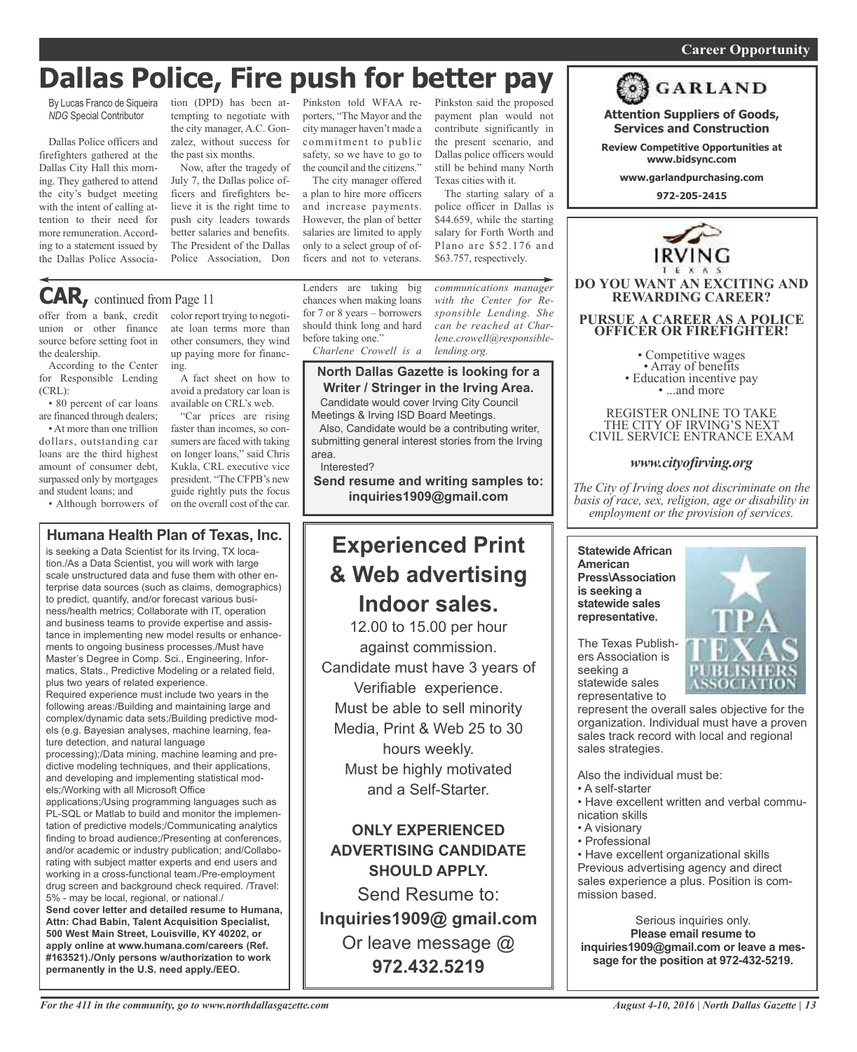#### *On a quest for qualified candidates? Contact Nina Garcia at 972-509-9049* **Career Opportunity**

## **Dallas Police, Fire push for better pay**

By Lucas Franco de Siqueira *NDG* Special Contributor

Dallas Police officers and firefighters gathered at the Dallas City Hall this morning. They gathered to attend the city's budget meeting with the intent of calling attention to their need for more remuneration.According to a statement issued by the Dallas Police Associa-

tion (DPD) has been at-Pinkston told WFAA retempting to negotiate with porters, "The Mayor and the the city manager, A.C. Gonzalez, without success for the past six months.

Now, after the tragedy of July 7, the Dallas police officers and firefighters believe it is the right time to push city leaders towards better salaries and benefits. The President of the Dallas Police Association, Don

city manager haven't made a commitment to public safety, so we have to go to the council and the citizens."

The city manager offered a plan to hire more officers and increase payments. However, the plan of better salaries are limited to apply only to a select group of officers and not to veterans.

Pinkston said the proposed payment plan would not contribute significantly in the present scenario, and Dallas police officers would still be behind many North Texas cities with it.

The starting salary of a police officer in Dallas is \$44.659, while the starting salary for Forth Worth and Plano are \$52.176 and \$63.757, respectively.

offer from a bank, credit color report trying to negoti-**CAR,** continued from Page <sup>11</sup>

union or other finance source before setting foot in the dealership.

According to the Center for Responsible Lending (CRL):

• 80 percent of car loans are financed through dealers;

• At more than one trillion dollars, outstanding car loans are the third highest amount of consumer debt, surpassed only by mortgages and student loans; and

• Although borrowers of

ate loan terms more than other consumers, they wind up paying more for financing.

A fact sheet on how to avoid a predatory car loan is available on CRL's web.

"Car prices are rising faster than incomes, so consumers are faced with taking on longer loans," said Chris Kukla, CRL executive vice president. "The CFPB's new guide rightly puts the focus on the overall cost of the car.

#### **Humana Health Plan of Texas, Inc.**

is seeking a Data Scientist for its Irving, TX location./As a Data Scientist, you will work with large scale unstructured data and fuse them with other enterprise data sources (such as claims, demographics) to predict, quantify, and/or forecast various business/health metrics; Collaborate with IT, operation and business teams to provide expertise and assistance in implementing new model results or enhancements to ongoing business processes./Must have Master's Degree in Comp. Sci., Engineering, Informatics, Stats., Predictive Modeling or a related field, plus two years of related experience.

Required experience must include two years in the following areas:/Building and maintaining large and complex/dynamic data sets;/Building predictive models (e.g. Bayesian analyses, machine learning, feature detection, and natural language

processing);/Data mining, machine learning and predictive modeling techniques, and their applications, and developing and implementing statistical models;/Working with all Microsoft Office

applications;/Using programming languages such as PL-SQL or Matlab to build and monitor the implementation of predictive models;/Communicating analytics finding to broad audience;/Presenting at conferences, and/or academic or industry publication; and/Collaborating with subject matter experts and end users and working in a cross-functional team./Pre-employment drug screen and background check required. /Travel: 5% - may be local, regional, or national./

**Send cover letter and detailed resume to Humana, Attn: Chad Babin, Talent Acquisition Specialist, 500 West Main Street, Louisville, KY 40202, or apply online at www.humana.com/careers (Ref. #163521)./Only persons w/authorization to work permanently in the U.S. need apply./EEO.**

Lenders are taking big chances when making loans for 7 or 8 years – borrowers should think long and hard before taking one."

*Charlene Crowell is a lending.org.*

#### **North Dallas Gazette is looking for a Writer / Stringer in the Irving Area.**

Candidate would cover Irving City Council Meetings & Irving ISD Board Meetings.

Also, Candidate would be a contributing writer, submitting general interest stories from the Irving area.

#### Interested?

**Send resume and writing samples to: inquiries1909@gmail.com**

## **Experienced Print & Web advertising Indoor sales.**

12.00 to 15.00 per hour against commission. Candidate must have 3 years of Verifiable experience. Must be able to sell minority Media, Print & Web 25 to 30 hours weekly. Must be highly motivated and a Self-Starter.

**ONLY EXPERIENCED ADVERTISING CANDIDATE SHOULD APPLY.**

Send Resume to: **Inquiries1909@ gmail.com** Or leave message @ **972.432.5219**



**PURSUE A CAREER AS A POLICE OFFICER OR FIREFIGHTER!** • Competitive wages<br>• Array of benefits<br>• Education incentive pay<br>• ...and more

REGISTER ONLINE TO TAKE THE CITY OF IRVING'S NEXT CIVIL SERVICE ENTRANCE EXAM

**DO YOU WANT AN EXCITING AND REWARDING CAREER?**

**Attention Suppliers of Goods, Services and Construction Review Competitive Opportunities at www.bidsync.com www.garlandpurchasing.com 972-205-2415**

**GARLAND** 

#### *www.cityofirving.org*

*The City of Irving does not discriminate on the basis of race, sex, religion, age or disability in employment or the provision of services.*

**Statewide African American Press\Association is seeking a statewide sales representative.**



The Texas Publishers Association is seeking a statewide sales representative to

represent the overall sales objective for the organization. Individual must have a proven sales track record with local and regional sales strategies.

Also the individual must be:

- A self-starter
- Have excellent written and verbal communication skills
- A visionary
- Professional

• Have excellent organizational skills Previous advertising agency and direct sales experience a plus. Position is commission based.

Serious inquiries only. **Please email resume to inquiries1909@gmail.com or leave a message for the position at 972-432-5219.**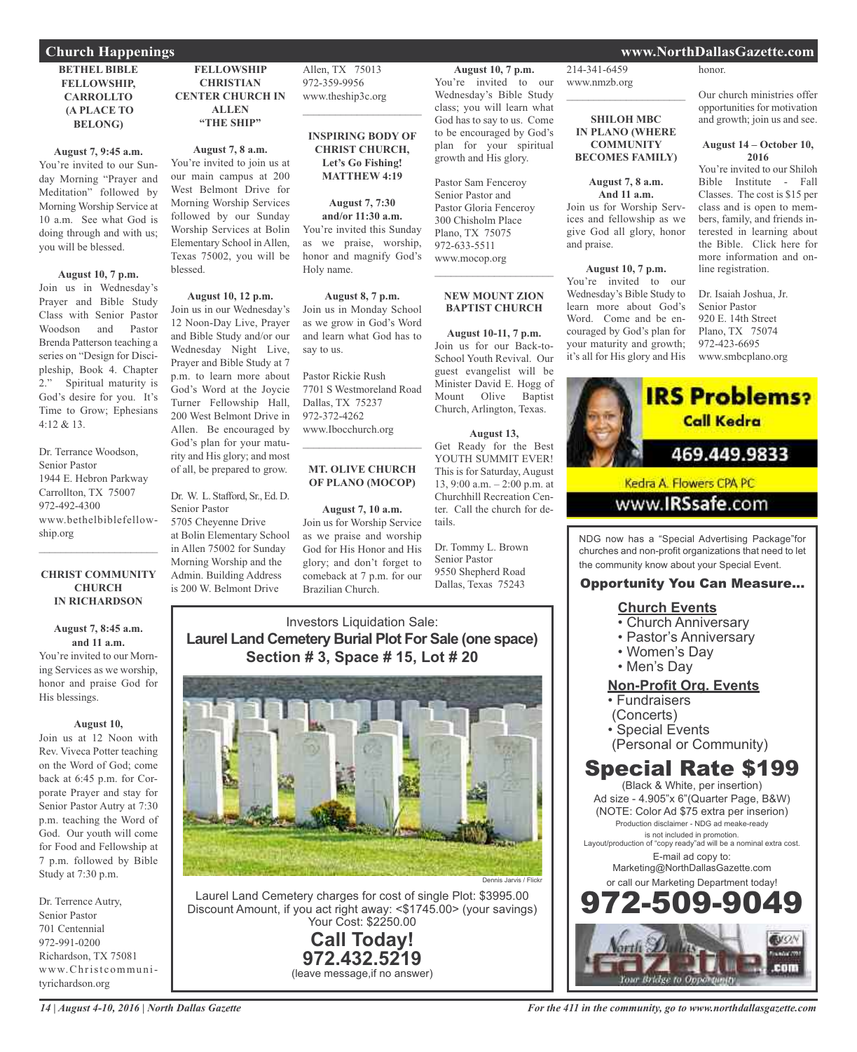#### **BETHEL BIBLE FELLOWSHIP, CARROLLTO (A PLACE TO BELONG)**

#### **August 7, 9:45 a.m.**

You're invited to our Sunday Morning "Prayer and Meditation" followed by Morning Worship Service at 10 a.m. See what God is doing through and with us; you will be blessed.

#### **August 10, 7 p.m.**

Join us in Wednesday's Prayer and Bible Study Class with Senior Pastor Woodson and Pastor Brenda Patterson teaching a series on "Design for Discipleship, Book 4. Chapter 2." Spiritual maturity is God's desire for you. It's Time to Grow; Ephesians 4:12 & 13.

Dr. Terrance Woodson, Senior Pastor 1944 E. Hebron Parkway Carrollton, TX 75007 972-492-4300 www.bethelbiblefellowship.org  $\mathcal{L}=\mathcal{L}^{\mathcal{L}}$  , where  $\mathcal{L}^{\mathcal{L}}$  , we have the set of the set of the set of the set of the set of the set of the set of the set of the set of the set of the set of the set of the set of the set of the set of

#### **CHRIST COMMUNITY CHURCH IN RICHARDSON**

#### **August 7, 8:45 a.m. and 11 a.m.**

You're invited to our Morning Services as we worship, honor and praise God for His blessings.

#### **August 10,**

Join us at 12 Noon with Rev. Viveca Potter teaching on the Word of God; come back at 6:45 p.m. for Corporate Prayer and stay for Senior Pastor Autry at 7:30 p.m. teaching the Word of God. Our youth will come for Food and Fellowship at 7 p.m. followed by Bible Study at 7:30 p.m.

Dr. Terrence Autry, Senior Pastor 701 Centennial 972-991-0200 Richardson, TX 75081 www.Christcommunityrichardson.org

**FELLOWSHIP CHRISTIAN CENTER CHURCH IN ALLEN "THE SHIP"**

#### **August 7, 8 a.m.**

You're invited to join us at our main campus at 200 West Belmont Drive for Morning Worship Services followed by our Sunday Worship Services at Bolin Elementary School in Allen, Texas 75002, you will be blessed.

#### **August 10, 12 p.m.** Join us in our Wednesday's 12 Noon-Day Live, Prayer and Bible Study and/or our Wednesday Night Live, Prayer and Bible Study at 7 p.m. to learn more about God's Word at the Joycie Turner Fellowship Hall, 200 West Belmont Drive in Allen. Be encouraged by God's plan for your maturity and His glory; and most

Dr. W. L. Stafford, Sr., Ed. D. Senior Pastor

of all, be prepared to grow.

5705 Cheyenne Drive at Bolin Elementary School in Allen 75002 for Sunday Morning Worship and the Admin. Building Address is 200 W. Belmont Drive

Allen, TX 75013 972-359-9956 www.theship3c.org

#### **INSPIRING BODY OF CHRIST CHURCH, Let's Go Fishing! MATTHEW 4:19**

 $\mathcal{L}=\mathcal{L}^{\mathcal{L}}$  , where  $\mathcal{L}^{\mathcal{L}}$  , we have the set of the set of the set of the set of the set of the set of the set of the set of the set of the set of the set of the set of the set of the set of the set of

**August 7, 7:30 and/or 11:30 a.m.** You're invited this Sunday as we praise, worship, honor and magnify God's Holy name.

#### **August 8, 7 p.m.** Join us in Monday School as we grow in God's Word and learn what God has to say to us.

Pastor Rickie Rush 7701 S Westmoreland Road Dallas, TX 75237 972-372-4262 www.Ibocchurch.org  $\mathcal{L}=\mathcal{L}^{\mathcal{L}}$  , where  $\mathcal{L}^{\mathcal{L}}$  , we have the set of the set of the set of the set of the set of the set of the set of the set of the set of the set of the set of the set of the set of the set of the set of

#### **MT. OLIVE CHURCH OF PLANO (MOCOP)**

#### **August 7, 10 a.m.** Join us for Worship Service as we praise and worship God for His Honor and His glory; and don't forget to comeback at 7 p.m. for our

Brazilian Church.

**August 10, 7 p.m.** You're invited to our Wednesday's Bible Study class; you will learn what God has to say to us. Come to be encouraged by God's plan for your spiritual growth and His glory.

Pastor Sam Fenceroy Senior Pastor and Pastor Gloria Fenceroy 300 Chisholm Place Plano, TX 75075 972-633-5511 www.mocop.org  $\mathcal{L}$  , and the set of the set of the set of the set of the set of the set of the set of the set of the set of the set of the set of the set of the set of the set of the set of the set of the set of the set of the set

### **NEW MOUNT ZION BAPTIST CHURCH**

**August 10-11, 7 p.m.** Join us for our Back-to-School Youth Revival. Our guest evangelist will be Minister David E. Hogg of Mount Olive Baptist Church, Arlington, Texas.

#### **August 13,**

Get Ready for the Best YOUTH SUMMIT EVER! This is for Saturday, August 13, 9:00 a.m. – 2:00 p.m. at Churchhill Recreation Center. Call the church for details.

Dr. Tommy L. Brown Senior Pastor 9550 Shepherd Road Dallas, Texas 75243

#### Investors Liquidation Sale: **Laurel Land Cemetery Burial Plot For Sale (one space) Section # 3, Space # 15, Lot # 20**



Laurel Land Cemetery charges for cost of single Plot: \$3995.00 Discount Amount, if you act right away: <\$1745.00> (your savings) Your Cost: \$2250.00

> **Call Today! 972.432.5219** (leave message,if no answer)

#### 214-341-6459 **Church Happenings www.NorthDallasGazette.com**

honor.

Our church ministries offer opportunities for motivation and growth; join us and see.

#### **August 14 – October 10, 2016**

You're invited to our Shiloh Bible Institute - Fall Classes. The cost is \$15 per class and is open to members, family, and friends interested in learning about the Bible. Click here for more information and online registration.

Dr. Isaiah Joshua, Jr. Senior Pastor 920 E. 14th Street Plano, TX 75074 972-423-6695 www.smbcplano.org



www.**IRSsafe.com** 

NDG now has a "Special Advertising Package"for churches and non-profit organizations that need to let the community know about your Special Event.

#### Opportunity You Can Measure...

#### **Church Events**

- Church Anniversary
- Pastor's Anniversary
- Women's Day
- Men's Day

#### **Non-Profit Org. Events**

- Fundraisers
- (Concerts)
- Special Events
- (Personal or Community)

## Special Rate \$199

(Black & White, per insertion) Ad size - 4.905"x 6"(Quarter Page, B&W) (NOTE: Color Ad \$75 extra per inserion) Production disclaimer - NDG ad meake-ready is not included in promotion. Layout/production of "copy ready"ad will be a nominal extra cost. E-mail ad copy to: Marketing@NorthDallasGazette.com or call our Marketing Department today! 972-509-9049



www.nmzb.org  $\mathcal{L}_\text{max}$  , which is a set of the set of the set of the set of the set of the set of the set of the set of the set of the set of the set of the set of the set of the set of the set of the set of the set of the set of

**SHILOH MBC IN PLANO (WHERE COMMUNITY BECOMES FAMILY)**

**August 7, 8 a.m. And 11 a.m.** Join us for Worship Services and fellowship as we give God all glory, honor

**August 10, 7 p.m.** You're invited to our Wednesday's Bible Study to learn more about God's Word. Come and be encouraged by God's plan for your maturity and growth; it's all for His glory and His

and praise.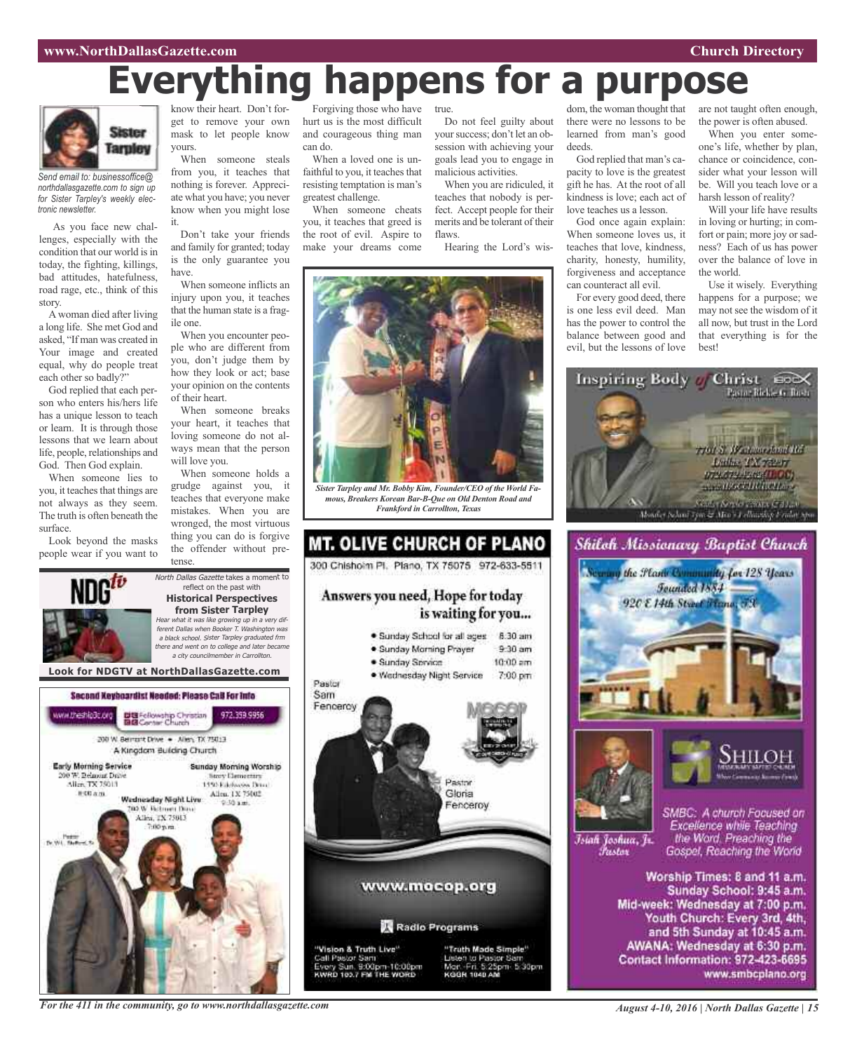# **Everything happens for a purpose**



*Send email to: businessoffice@ northdallasgazette.com to sign up for Sister Tarpley's weekly electronic newsletter.*

As you face new challenges, especially with the condition that our world is in today, the fighting, killings, bad attitudes, hatefulness, road rage, etc., think of this story.

A woman died after living a long life. She met God and asked, "If man was created in Your image and created equal, why do people treat each other so badly?"

God replied that each person who enters his/hers life has a unique lesson to teach or learn. It is through those lessons that we learn about life, people, relationships and God. Then God explain.

When someone lies to you, it teaches that things are not always as they seem. The truth is often beneath the surface.

Look beyond the masks people wear if you want to

know their heart. Don't forget to remove your own mask to let people know yours.

When someone steals from you, it teaches that nothing is forever. Appreciate what you have; you never know when you might lose it.

Don't take your friends and family for granted; today is the only guarantee you have.

When someone inflicts an injury upon you, it teaches that the human state is a fragile one.

When you encounter people who are different from you, don't judge them by how they look or act; base your opinion on the contents of their heart.

When someone breaks your heart, it teaches that loving someone do not always mean that the person will love you.

When someone holds a grudge against you, it teaches that everyone make mistakes. When you are wronged, the most virtuous thing you can do is forgive the offender without pretense.

North Dallas Gazette takes a moment to reflect on the past with **Historical Perspectives from Sister Tarpley**

Forgiving those who have hurt us is the most difficult and courageous thing man can do.

When a loved one is unfaithful to you, it teaches that resisting temptation is man's greatest challenge.

When someone cheats you, it teaches that greed is the root of evil. Aspire to make your dreams come

true.

Do not feel guilty about your success; don't let an obsession with achieving your goals lead you to engage in malicious activities.

When you are ridiculed, it teaches that nobody is perfect. Accept people for their merits and be tolerant of their flaws.

Hearing the Lord's wis-



*Sister Tarpley and Mr. Bobby Kim, Founder/CEO of the World Famous, Breakers Korean Bar-B-Que on Old Denton Road and Frankford in Carrollton, Texas*



dom, the woman thought that there were no lessons to be learned from man's good deeds.

God replied that man's capacity to love is the greatest gift he has. At the root of all kindness is love; each act of love teaches us a lesson.

God once again explain: When someone loves us, it teaches that love, kindness, charity, honesty, humility, forgiveness and acceptance can counteract all evil.

For every good deed, there is one less evil deed. Man has the power to control the balance between good and evil, but the lessons of love are not taught often enough, the power is often abused.

When you enter someone's life, whether by plan, chance or coincidence, consider what your lesson will be. Will you teach love or a harsh lesson of reality?

Will your life have results in loving or hurting; in comfort or pain; more joy or sadness? Each of us has power over the balance of love in the world.

Use it wisely. Everything happens for a purpose; we may not see the wisdom of it all now, but trust in the Lord that everything is for the best!







Islah Joshua, Jr. *Tustov* 

SMBC: A church Focused on Excellence while Teaching the Word. Preaching the Gospel, Reaching the World

Worship Times: 8 and 11 a.m. Sunday School: 9:45 a.m. Mid-week: Wednesday at 7:00 p.m. Youth Church: Every 3rd, 4th, and 5th Sunday at 10:45 a.m. AWANA: Wednesday at 6:30 p.m. Contact Information: 972-423-6695 www.smbcplano.org



*For the 411 in the community, go to www.northdallasgazette.com*